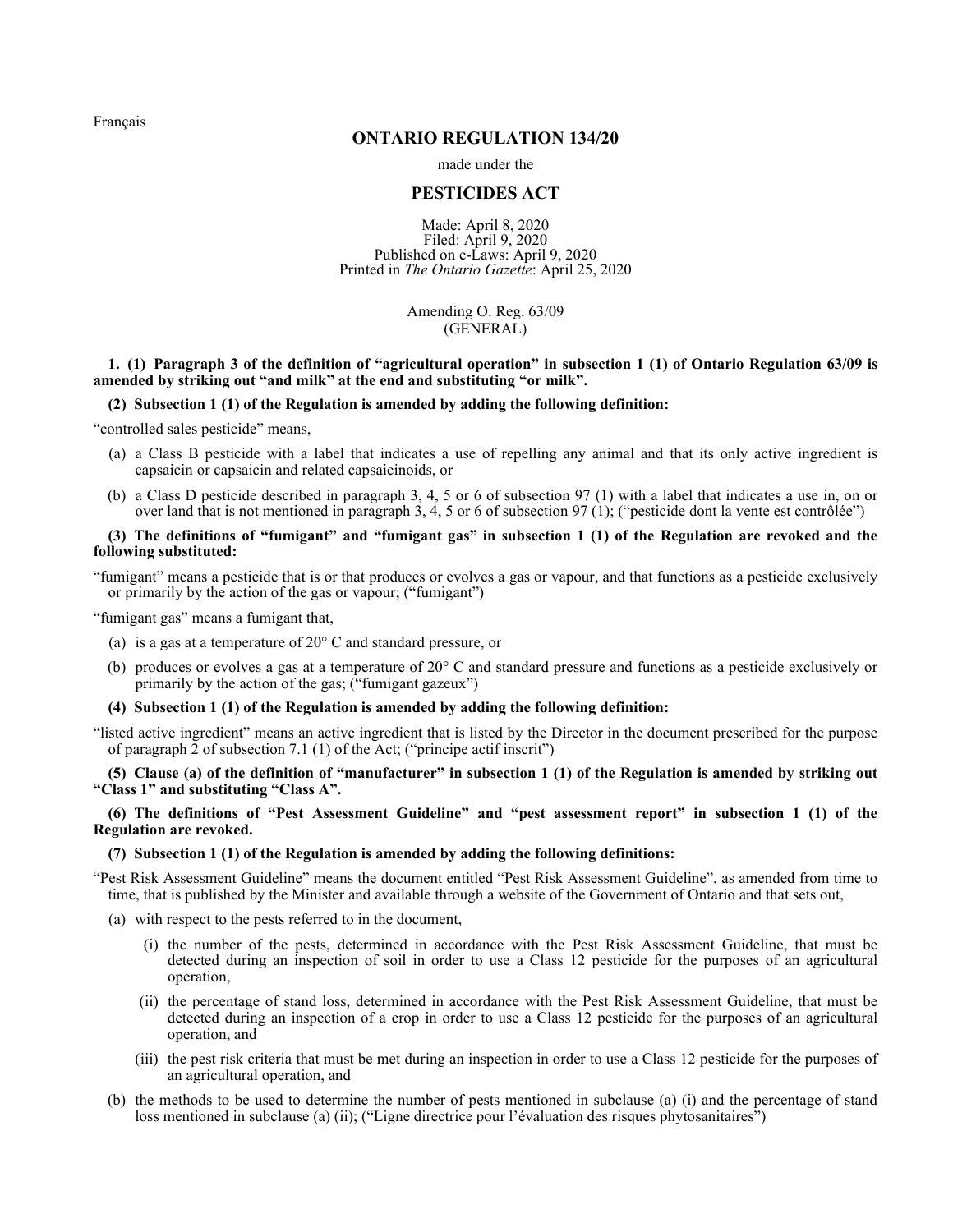<span id="page-0-0"></span>[Français](http://www.ontario.ca/fr/lois/reglement/r20134)

# **ONTARIO REGULATION 134/20**

made under the

# **PESTICIDES ACT**

Made: April 8, 2020 Filed: April 9, 2020 Published on e-Laws: April 9, 2020 Printed in *The Ontario Gazette*: April 25, 2020

> Amending O. Reg. 63/09 (GENERAL)

# **1. (1) Paragraph 3 of the definition of "agricultural operation" in subsection 1 (1) of Ontario Regulation 63/09 is amended by striking out "and milk" at the end and substituting "or milk".**

## **(2) Subsection 1 (1) of the Regulation is amended by adding the following definition:**

"controlled sales pesticide" means,

- (a) a Class B pesticide with a label that indicates a use of repelling any animal and that its only active ingredient is capsaicin or capsaicin and related capsaicinoids, or
- (b) a Class D pesticide described in paragraph 3, 4, 5 or 6 of subsection 97 (1) with a label that indicates a use in, on or over land that is not mentioned in paragraph 3, 4, 5 or 6 of subsection 97 (1); ("pesticide dont la vente est contrôlée")

# **(3) The definitions of "fumigant" and "fumigant gas" in subsection 1 (1) of the Regulation are revoked and the following substituted:**

"fumigant" means a pesticide that is or that produces or evolves a gas or vapour, and that functions as a pesticide exclusively or primarily by the action of the gas or vapour; ("fumigant")

"fumigant gas" means a fumigant that,

- (a) is a gas at a temperature of 20° C and standard pressure, or
- (b) produces or evolves a gas at a temperature of 20° C and standard pressure and functions as a pesticide exclusively or primarily by the action of the gas; ("fumigant gazeux")

## **(4) Subsection 1 (1) of the Regulation is amended by adding the following definition:**

"listed active ingredient" means an active ingredient that is listed by the Director in the document prescribed for the purpose of paragraph  $\overline{2}$  of subsection 7.1 (1) of the Act; ("principe actif inscrit")

**(5) Clause (a) of the definition of "manufacturer" in subsection 1 (1) of the Regulation is amended by striking out "Class 1" and substituting "Class A".**

**(6) The definitions of "Pest Assessment Guideline" and "pest assessment report" in subsection 1 (1) of the Regulation are revoked.**

### **(7) Subsection 1 (1) of the Regulation is amended by adding the following definitions:**

"Pest Risk Assessment Guideline" means the document entitled "Pest Risk Assessment Guideline", as amended from time to time, that is published by the Minister and available through a website of the Government of Ontario and that sets out,

(a) with respect to the pests referred to in the document,

- (i) the number of the pests, determined in accordance with the Pest Risk Assessment Guideline, that must be detected during an inspection of soil in order to use a Class 12 pesticide for the purposes of an agricultural operation,
- (ii) the percentage of stand loss, determined in accordance with the Pest Risk Assessment Guideline, that must be detected during an inspection of a crop in order to use a Class 12 pesticide for the purposes of an agricultural operation, and
- (iii) the pest risk criteria that must be met during an inspection in order to use a Class 12 pesticide for the purposes of an agricultural operation, and
- (b) the methods to be used to determine the number of pests mentioned in subclause (a) (i) and the percentage of stand loss mentioned in subclause (a) (ii); ("Ligne directrice pour l'évaluation des risques phytosanitaires")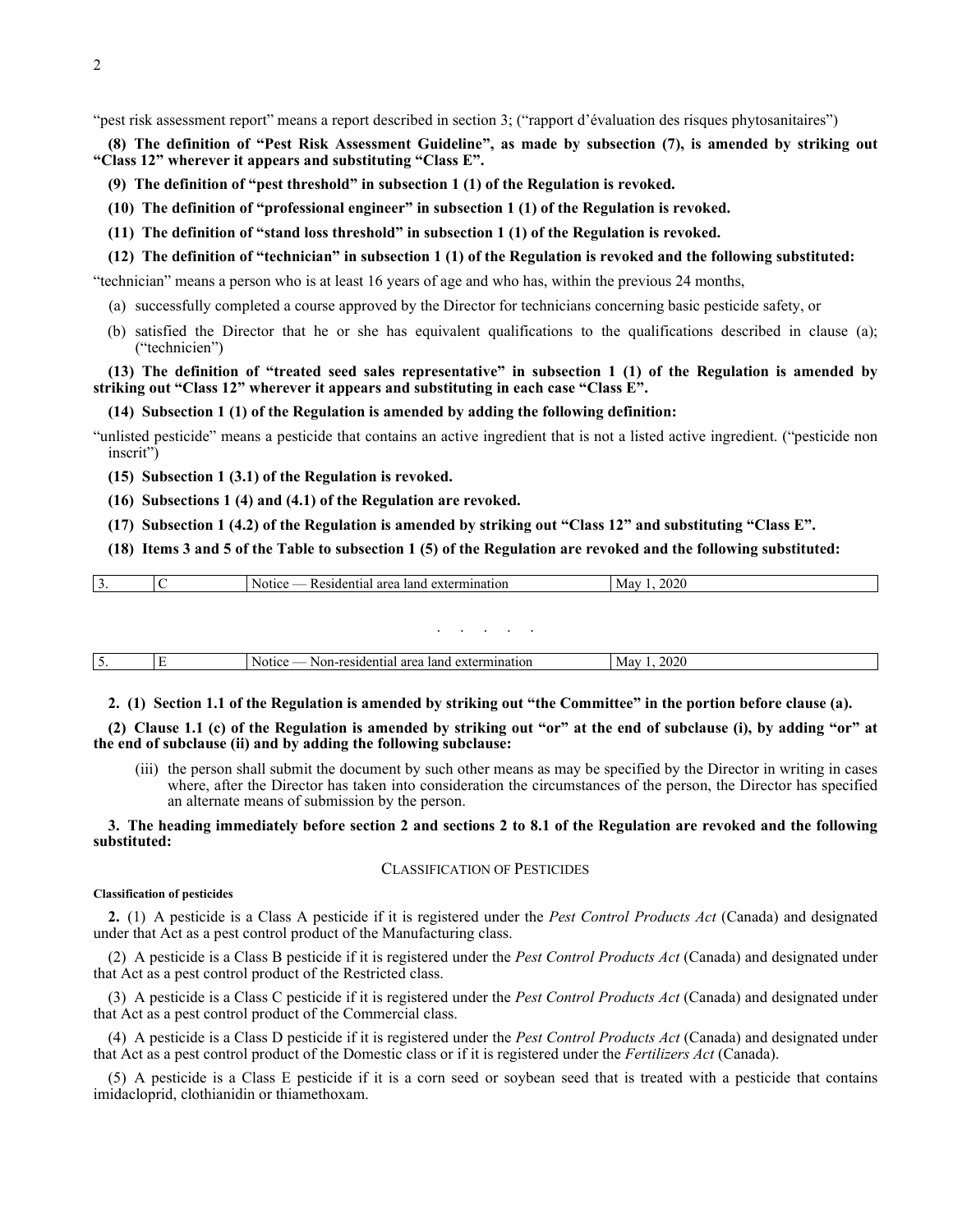"pest risk assessment report" means a report described in section 3; ("rapport d'évaluation des risques phytosanitaires")

**(8) The definition of "Pest Risk Assessment Guideline", as made by subsection (7), is amended by striking out "Class 12" wherever it appears and substituting "Class E".**

- **(9) The definition of "pest threshold" in subsection 1 (1) of the Regulation is revoked.**
- **(10) The definition of "professional engineer" in subsection 1 (1) of the Regulation is revoked.**
- **(11) The definition of "stand loss threshold" in subsection 1 (1) of the Regulation is revoked.**
- **(12) The definition of "technician" in subsection 1 (1) of the Regulation is revoked and the following substituted:**

"technician" means a person who is at least 16 years of age and who has, within the previous 24 months,

- (a) successfully completed a course approved by the Director for technicians concerning basic pesticide safety, or
- (b) satisfied the Director that he or she has equivalent qualifications to the qualifications described in clause (a); ("technicien")

# **(13) The definition of "treated seed sales representative" in subsection 1 (1) of the Regulation is amended by striking out "Class 12" wherever it appears and substituting in each case "Class E".**

#### **(14) Subsection 1 (1) of the Regulation is amended by adding the following definition:**

"unlisted pesticide" means a pesticide that contains an active ingredient that is not a listed active ingredient. ("pesticide non inscrit")

**(15) Subsection 1 (3.1) of the Regulation is revoked.**

**(16) Subsections 1 (4) and (4.1) of the Regulation are revoked.**

**(17) Subsection 1 (4.2) of the Regulation is amended by striking out "Class 12" and substituting "Class E".**

## **(18) Items 3 and 5 of the Table to subsection 1 (5) of the Regulation are revoked and the following substituted:**

| . ب | ' area<br>sidential:<br>$\alpha v$<br>Notic<br>` land<br>exterm<br>nnauon<br>. <b>A</b> | $\sim$ $\sim$ $\sim$<br>- May |
|-----|-----------------------------------------------------------------------------------------|-------------------------------|
|     |                                                                                         |                               |

### . . . . .

| <b>Notice</b><br>May<br>termination<br>. esidential<br>land<br>Non-.<br>ai ca<br>CALC.<br>- '' - '<br>ັ |
|---------------------------------------------------------------------------------------------------------|
|---------------------------------------------------------------------------------------------------------|

**2. (1) Section 1.1 of the Regulation is amended by striking out "the Committee" in the portion before clause (a).**

**(2) Clause 1.1 (c) of the Regulation is amended by striking out "or" at the end of subclause (i), by adding "or" at the end of subclause (ii) and by adding the following subclause:**

(iii) the person shall submit the document by such other means as may be specified by the Director in writing in cases where, after the Director has taken into consideration the circumstances of the person, the Director has specified an alternate means of submission by the person.

## **3. The heading immediately before section 2 and sections 2 to 8.1 of the Regulation are revoked and the following substituted:**

### CLASSIFICATION OF PESTICIDES

#### **Classification of pesticides**

**2.** (1) A pesticide is a Class A pesticide if it is registered under the *Pest Control Products Act* (Canada) and designated under that Act as a pest control product of the Manufacturing class.

(2) A pesticide is a Class B pesticide if it is registered under the *Pest Control Products Act* (Canada) and designated under that Act as a pest control product of the Restricted class.

(3) A pesticide is a Class C pesticide if it is registered under the *Pest Control Products Act* (Canada) and designated under that Act as a pest control product of the Commercial class.

(4) A pesticide is a Class D pesticide if it is registered under the *Pest Control Products Act* (Canada) and designated under that Act as a pest control product of the Domestic class or if it is registered under the *Fertilizers Act* (Canada).

(5) A pesticide is a Class E pesticide if it is a corn seed or soybean seed that is treated with a pesticide that contains imidacloprid, clothianidin or thiamethoxam.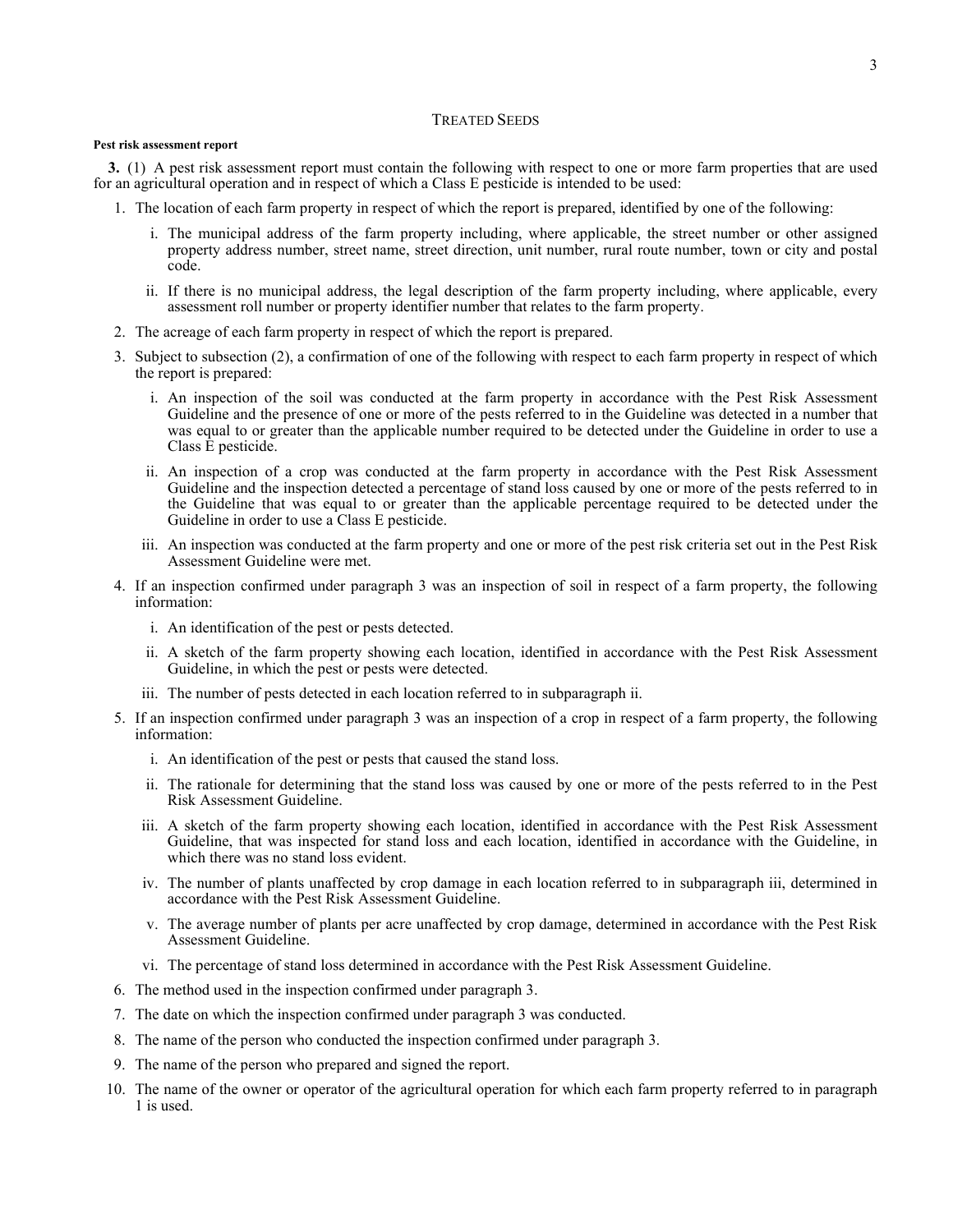# TREATED SEEDS

#### **Pest risk assessment report**

**3.** (1) A pest risk assessment report must contain the following with respect to one or more farm properties that are used for an agricultural operation and in respect of which a Class E pesticide is intended to be used:

- 1. The location of each farm property in respect of which the report is prepared, identified by one of the following:
	- i. The municipal address of the farm property including, where applicable, the street number or other assigned property address number, street name, street direction, unit number, rural route number, town or city and postal code.
	- ii. If there is no municipal address, the legal description of the farm property including, where applicable, every assessment roll number or property identifier number that relates to the farm property.
- 2. The acreage of each farm property in respect of which the report is prepared.
- 3. Subject to subsection (2), a confirmation of one of the following with respect to each farm property in respect of which the report is prepared:
	- i. An inspection of the soil was conducted at the farm property in accordance with the Pest Risk Assessment Guideline and the presence of one or more of the pests referred to in the Guideline was detected in a number that was equal to or greater than the applicable number required to be detected under the Guideline in order to use a Class E pesticide.
	- ii. An inspection of a crop was conducted at the farm property in accordance with the Pest Risk Assessment Guideline and the inspection detected a percentage of stand loss caused by one or more of the pests referred to in the Guideline that was equal to or greater than the applicable percentage required to be detected under the Guideline in order to use a Class E pesticide.
	- iii. An inspection was conducted at the farm property and one or more of the pest risk criteria set out in the Pest Risk Assessment Guideline were met.
- 4. If an inspection confirmed under paragraph 3 was an inspection of soil in respect of a farm property, the following information:
	- i. An identification of the pest or pests detected.
	- ii. A sketch of the farm property showing each location, identified in accordance with the Pest Risk Assessment Guideline, in which the pest or pests were detected.
	- iii. The number of pests detected in each location referred to in subparagraph ii.
- 5. If an inspection confirmed under paragraph 3 was an inspection of a crop in respect of a farm property, the following information:
	- i. An identification of the pest or pests that caused the stand loss.
	- ii. The rationale for determining that the stand loss was caused by one or more of the pests referred to in the Pest Risk Assessment Guideline.
	- iii. A sketch of the farm property showing each location, identified in accordance with the Pest Risk Assessment Guideline, that was inspected for stand loss and each location, identified in accordance with the Guideline, in which there was no stand loss evident.
	- iv. The number of plants unaffected by crop damage in each location referred to in subparagraph iii, determined in accordance with the Pest Risk Assessment Guideline.
	- v. The average number of plants per acre unaffected by crop damage, determined in accordance with the Pest Risk Assessment Guideline.
	- vi. The percentage of stand loss determined in accordance with the Pest Risk Assessment Guideline.
- 6. The method used in the inspection confirmed under paragraph 3.
- 7. The date on which the inspection confirmed under paragraph 3 was conducted.
- 8. The name of the person who conducted the inspection confirmed under paragraph 3.
- 9. The name of the person who prepared and signed the report.
- 10. The name of the owner or operator of the agricultural operation for which each farm property referred to in paragraph 1 is used.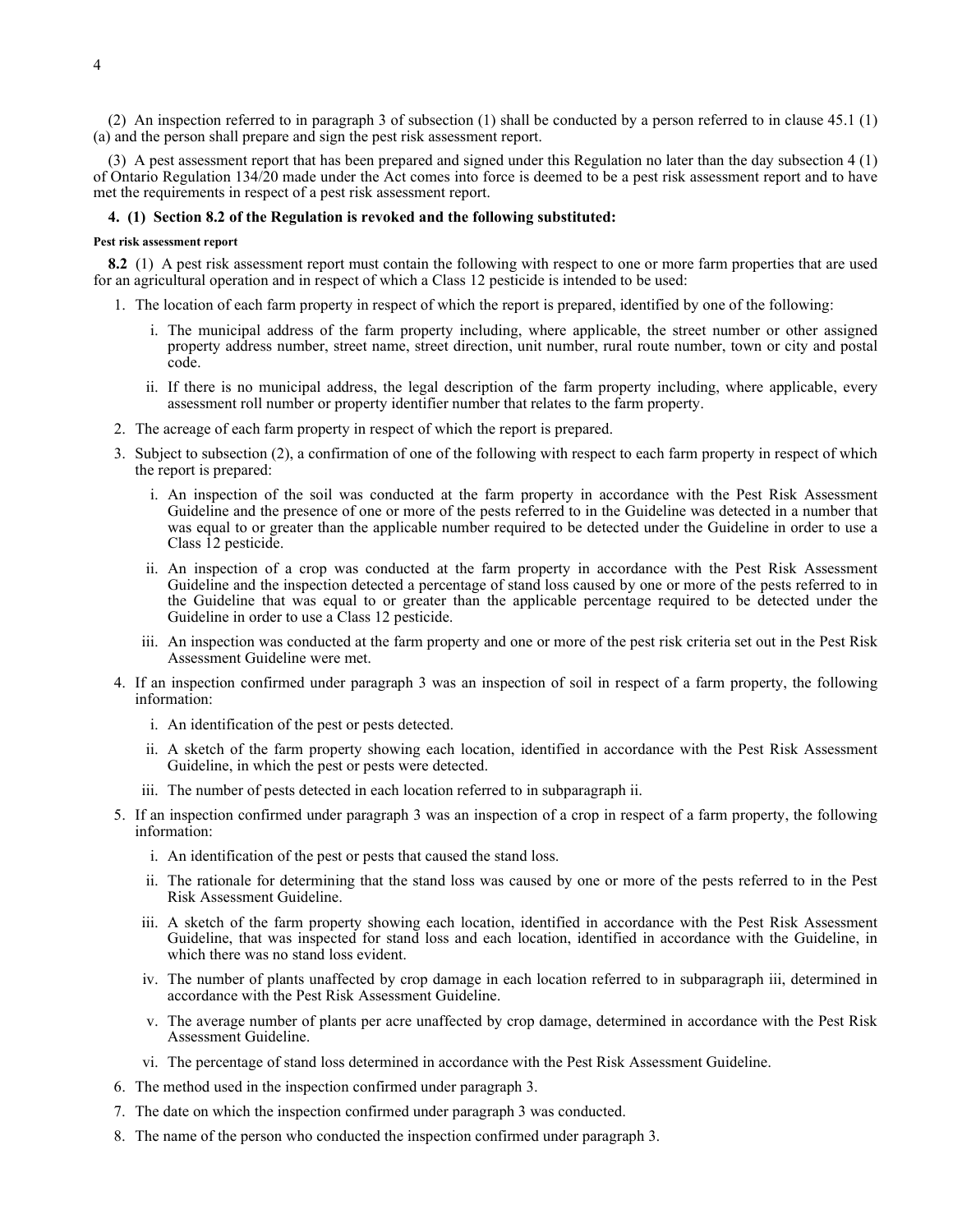(2) An inspection referred to in paragraph 3 of subsection (1) shall be conducted by a person referred to in clause 45.1 (1) (a) and the person shall prepare and sign the pest risk assessment report.

(3) A pest assessment report that has been prepared and signed under this Regulation no later than the day subsection 4 (1) of Ontario Regulation 134/20 made under the Act comes into force is deemed to be a pest risk assessment report and to have met the requirements in respect of a pest risk assessment report.

### **4. (1) Section 8.2 of the Regulation is revoked and the following substituted:**

#### **Pest risk assessment report**

**8.2** (1) A pest risk assessment report must contain the following with respect to one or more farm properties that are used for an agricultural operation and in respect of which a Class 12 pesticide is intended to be used:

- 1. The location of each farm property in respect of which the report is prepared, identified by one of the following:
	- i. The municipal address of the farm property including, where applicable, the street number or other assigned property address number, street name, street direction, unit number, rural route number, town or city and postal code.
	- ii. If there is no municipal address, the legal description of the farm property including, where applicable, every assessment roll number or property identifier number that relates to the farm property.
- 2. The acreage of each farm property in respect of which the report is prepared.
- 3. Subject to subsection (2), a confirmation of one of the following with respect to each farm property in respect of which the report is prepared:
	- i. An inspection of the soil was conducted at the farm property in accordance with the Pest Risk Assessment Guideline and the presence of one or more of the pests referred to in the Guideline was detected in a number that was equal to or greater than the applicable number required to be detected under the Guideline in order to use a Class 12 pesticide.
	- ii. An inspection of a crop was conducted at the farm property in accordance with the Pest Risk Assessment Guideline and the inspection detected a percentage of stand loss caused by one or more of the pests referred to in the Guideline that was equal to or greater than the applicable percentage required to be detected under the Guideline in order to use a Class 12 pesticide.
	- iii. An inspection was conducted at the farm property and one or more of the pest risk criteria set out in the Pest Risk Assessment Guideline were met.
- 4. If an inspection confirmed under paragraph 3 was an inspection of soil in respect of a farm property, the following information:
	- i. An identification of the pest or pests detected.
	- ii. A sketch of the farm property showing each location, identified in accordance with the Pest Risk Assessment Guideline, in which the pest or pests were detected.
	- iii. The number of pests detected in each location referred to in subparagraph ii.
- 5. If an inspection confirmed under paragraph 3 was an inspection of a crop in respect of a farm property, the following information:
	- i. An identification of the pest or pests that caused the stand loss.
	- ii. The rationale for determining that the stand loss was caused by one or more of the pests referred to in the Pest Risk Assessment Guideline.
	- iii. A sketch of the farm property showing each location, identified in accordance with the Pest Risk Assessment Guideline, that was inspected for stand loss and each location, identified in accordance with the Guideline, in which there was no stand loss evident.
	- iv. The number of plants unaffected by crop damage in each location referred to in subparagraph iii, determined in accordance with the Pest Risk Assessment Guideline.
	- v. The average number of plants per acre unaffected by crop damage, determined in accordance with the Pest Risk Assessment Guideline.
	- vi. The percentage of stand loss determined in accordance with the Pest Risk Assessment Guideline.
- 6. The method used in the inspection confirmed under paragraph 3.
- 7. The date on which the inspection confirmed under paragraph 3 was conducted.
- 8. The name of the person who conducted the inspection confirmed under paragraph 3.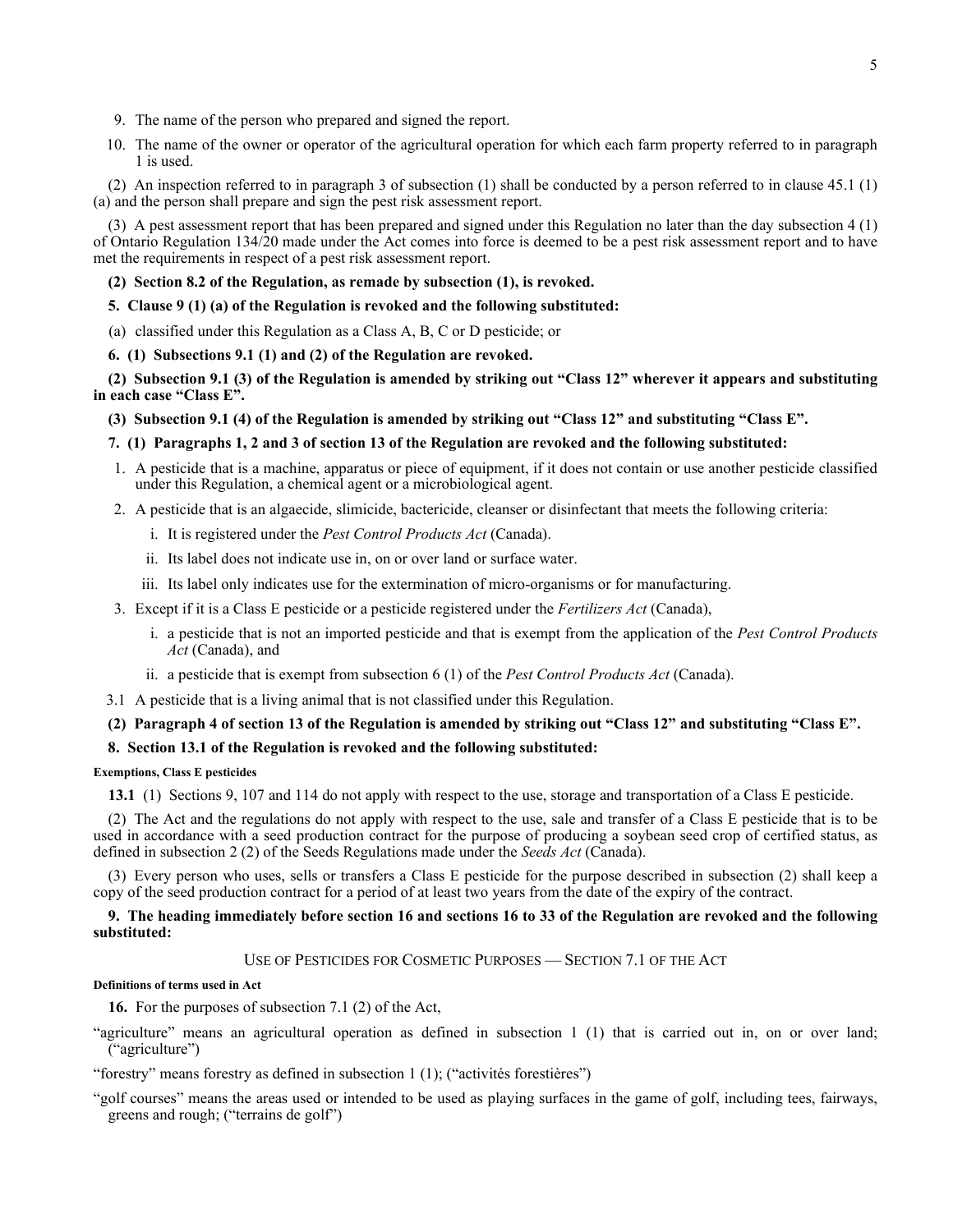- 9. The name of the person who prepared and signed the report.
- 10. The name of the owner or operator of the agricultural operation for which each farm property referred to in paragraph 1 is used.

(2) An inspection referred to in paragraph 3 of subsection (1) shall be conducted by a person referred to in clause 45.1 (1) (a) and the person shall prepare and sign the pest risk assessment report.

(3) A pest assessment report that has been prepared and signed under this Regulation no later than the day subsection 4 (1) of Ontario Regulation 134/20 made under the Act comes into force is deemed to be a pest risk assessment report and to have met the requirements in respect of a pest risk assessment report.

## **(2) Section 8.2 of the Regulation, as remade by subsection (1), is revoked.**

## **5. Clause 9 (1) (a) of the Regulation is revoked and the following substituted:**

(a) classified under this Regulation as a Class A, B, C or D pesticide; or

#### **6. (1) Subsections 9.1 (1) and (2) of the Regulation are revoked.**

**(2) Subsection 9.1 (3) of the Regulation is amended by striking out "Class 12" wherever it appears and substituting in each case "Class E".**

## **(3) Subsection 9.1 (4) of the Regulation is amended by striking out "Class 12" and substituting "Class E".**

## **7. (1) Paragraphs 1, 2 and 3 of section 13 of the Regulation are revoked and the following substituted:**

- 1. A pesticide that is a machine, apparatus or piece of equipment, if it does not contain or use another pesticide classified under this Regulation, a chemical agent or a microbiological agent.
- 2. A pesticide that is an algaecide, slimicide, bactericide, cleanser or disinfectant that meets the following criteria:
	- i. It is registered under the *Pest Control Products Act* (Canada).
	- ii. Its label does not indicate use in, on or over land or surface water.
	- iii. Its label only indicates use for the extermination of micro-organisms or for manufacturing.
- 3. Except if it is a Class E pesticide or a pesticide registered under the *Fertilizers Act* (Canada),
	- i. a pesticide that is not an imported pesticide and that is exempt from the application of the *Pest Control Products Act* (Canada), and
	- ii. a pesticide that is exempt from subsection 6 (1) of the *Pest Control Products Act* (Canada).
- 3.1 A pesticide that is a living animal that is not classified under this Regulation.

## **(2) Paragraph 4 of section 13 of the Regulation is amended by striking out "Class 12" and substituting "Class E".**

## **8. Section 13.1 of the Regulation is revoked and the following substituted:**

## **Exemptions, Class E pesticides**

**13.1** (1) Sections 9, 107 and 114 do not apply with respect to the use, storage and transportation of a Class E pesticide.

(2) The Act and the regulations do not apply with respect to the use, sale and transfer of a Class E pesticide that is to be used in accordance with a seed production contract for the purpose of producing a soybean seed crop of certified status, as defined in subsection 2 (2) of the Seeds Regulations made under the *Seeds Act* (Canada).

(3) Every person who uses, sells or transfers a Class E pesticide for the purpose described in subsection (2) shall keep a copy of the seed production contract for a period of at least two years from the date of the expiry of the contract.

# **9. The heading immediately before section 16 and sections 16 to 33 of the Regulation are revoked and the following substituted:**

USE OF PESTICIDES FOR COSMETIC PURPOSES — SECTION 7.1 OF THE ACT

#### **Definitions of terms used in Act**

**16.** For the purposes of subsection 7.1 (2) of the Act,

"agriculture" means an agricultural operation as defined in subsection 1 (1) that is carried out in, on or over land; ("agriculture")

"forestry" means forestry as defined in subsection 1 (1); ("activités forestières")

<sup>&</sup>quot;golf courses" means the areas used or intended to be used as playing surfaces in the game of golf, including tees, fairways, greens and rough; ("terrains de golf")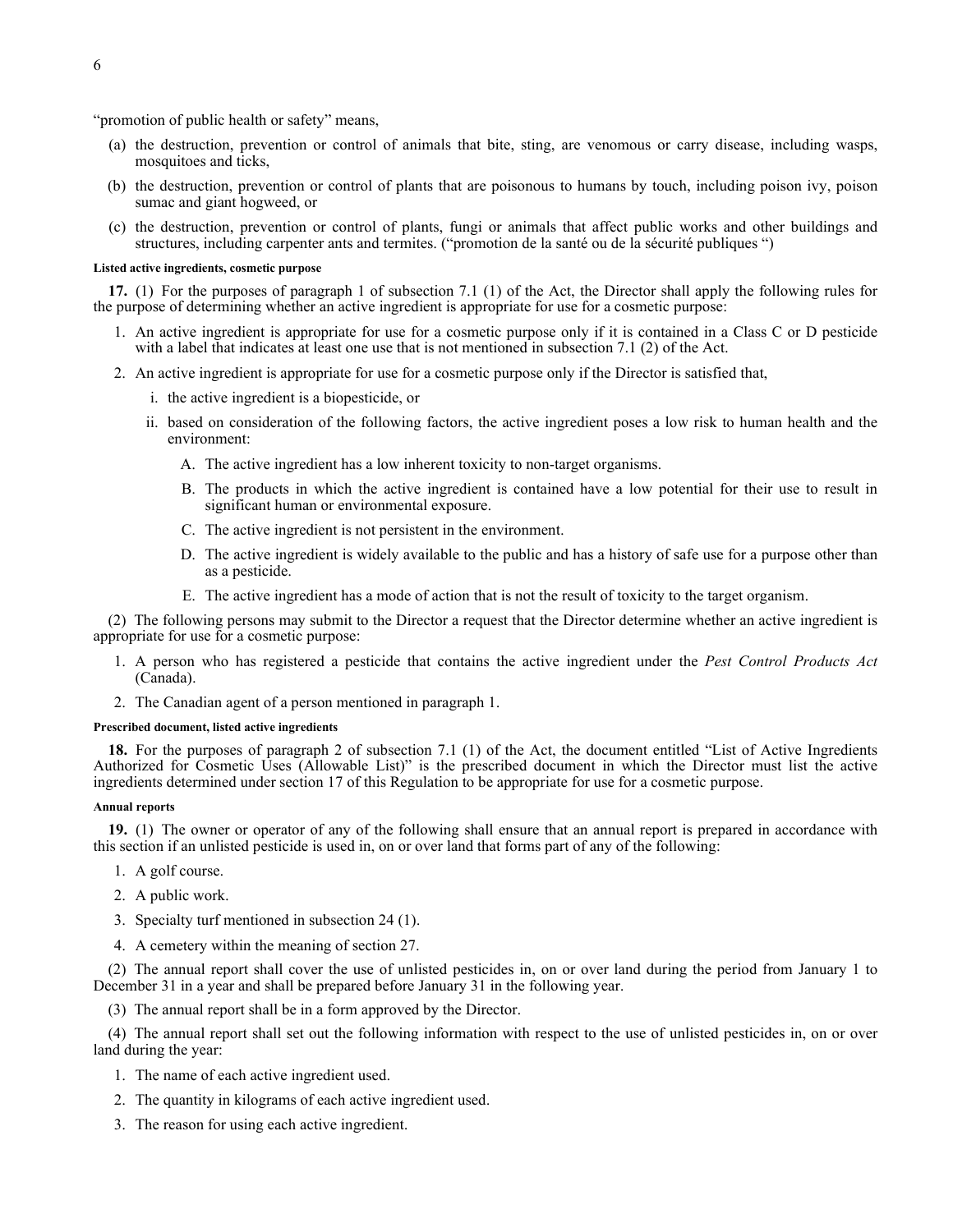"promotion of public health or safety" means,

- (a) the destruction, prevention or control of animals that bite, sting, are venomous or carry disease, including wasps, mosquitoes and ticks,
- (b) the destruction, prevention or control of plants that are poisonous to humans by touch, including poison ivy, poison sumac and giant hogweed, or
- (c) the destruction, prevention or control of plants, fungi or animals that affect public works and other buildings and structures, including carpenter ants and termites. ("promotion de la santé ou de la sécurité publiques ")

#### **Listed active ingredients, cosmetic purpose**

**17.** (1) For the purposes of paragraph 1 of subsection 7.1 (1) of the Act, the Director shall apply the following rules for the purpose of determining whether an active ingredient is appropriate for use for a cosmetic purpose:

- 1. An active ingredient is appropriate for use for a cosmetic purpose only if it is contained in a Class C or D pesticide with a label that indicates at least one use that is not mentioned in subsection 7.1 (2) of the Act.
- 2. An active ingredient is appropriate for use for a cosmetic purpose only if the Director is satisfied that,
	- i. the active ingredient is a biopesticide, or
	- ii. based on consideration of the following factors, the active ingredient poses a low risk to human health and the environment:
		- A. The active ingredient has a low inherent toxicity to non-target organisms.
		- B. The products in which the active ingredient is contained have a low potential for their use to result in significant human or environmental exposure.
		- C. The active ingredient is not persistent in the environment.
		- D. The active ingredient is widely available to the public and has a history of safe use for a purpose other than as a pesticide.
		- E. The active ingredient has a mode of action that is not the result of toxicity to the target organism.

(2) The following persons may submit to the Director a request that the Director determine whether an active ingredient is appropriate for use for a cosmetic purpose:

- 1. A person who has registered a pesticide that contains the active ingredient under the *Pest Control Products Act* (Canada).
- 2. The Canadian agent of a person mentioned in paragraph 1.

#### **Prescribed document, listed active ingredients**

**18.** For the purposes of paragraph 2 of subsection 7.1 (1) of the Act, the document entitled "List of Active Ingredients Authorized for Cosmetic Uses (Allowable List)" is the prescribed document in which the Director must list the active ingredients determined under section 17 of this Regulation to be appropriate for use for a cosmetic purpose.

#### **Annual reports**

**19.** (1) The owner or operator of any of the following shall ensure that an annual report is prepared in accordance with this section if an unlisted pesticide is used in, on or over land that forms part of any of the following:

- 1. A golf course.
- 2. A public work.
- 3. Specialty turf mentioned in subsection 24 (1).
- 4. A cemetery within the meaning of section 27.

(2) The annual report shall cover the use of unlisted pesticides in, on or over land during the period from January 1 to December 31 in a year and shall be prepared before January 31 in the following year.

(3) The annual report shall be in a form approved by the Director.

(4) The annual report shall set out the following information with respect to the use of unlisted pesticides in, on or over land during the year:

- 1. The name of each active ingredient used.
- 2. The quantity in kilograms of each active ingredient used.
- 3. The reason for using each active ingredient.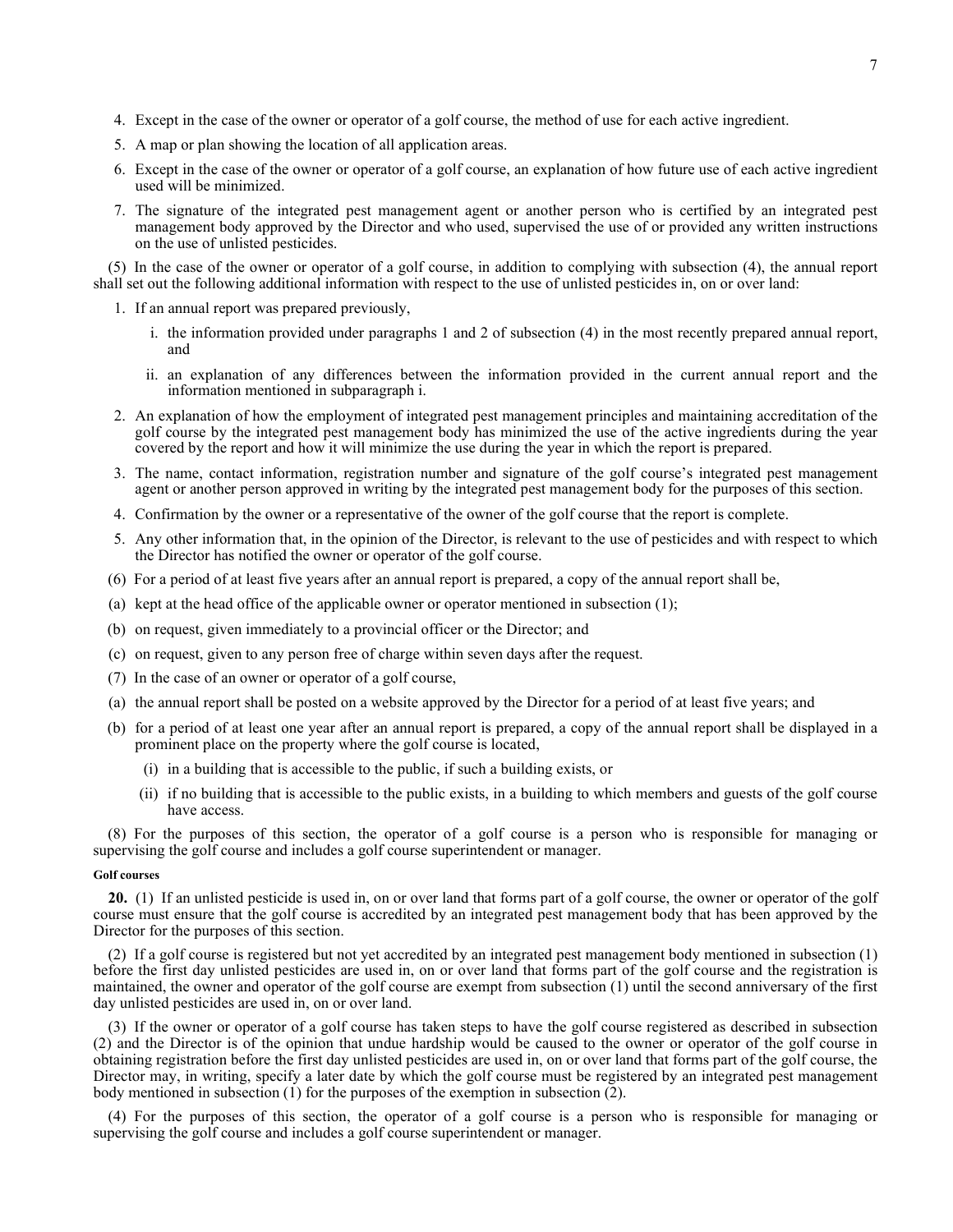- 4. Except in the case of the owner or operator of a golf course, the method of use for each active ingredient.
- 5. A map or plan showing the location of all application areas.
- 6. Except in the case of the owner or operator of a golf course, an explanation of how future use of each active ingredient used will be minimized.
- 7. The signature of the integrated pest management agent or another person who is certified by an integrated pest management body approved by the Director and who used, supervised the use of or provided any written instructions on the use of unlisted pesticides.

(5) In the case of the owner or operator of a golf course, in addition to complying with subsection (4), the annual report shall set out the following additional information with respect to the use of unlisted pesticides in, on or over land:

- 1. If an annual report was prepared previously,
	- i. the information provided under paragraphs 1 and 2 of subsection (4) in the most recently prepared annual report, and
	- ii. an explanation of any differences between the information provided in the current annual report and the information mentioned in subparagraph i.
- 2. An explanation of how the employment of integrated pest management principles and maintaining accreditation of the golf course by the integrated pest management body has minimized the use of the active ingredients during the year covered by the report and how it will minimize the use during the year in which the report is prepared.
- 3. The name, contact information, registration number and signature of the golf course's integrated pest management agent or another person approved in writing by the integrated pest management body for the purposes of this section.
- 4. Confirmation by the owner or a representative of the owner of the golf course that the report is complete.
- 5. Any other information that, in the opinion of the Director, is relevant to the use of pesticides and with respect to which the Director has notified the owner or operator of the golf course.
- (6) For a period of at least five years after an annual report is prepared, a copy of the annual report shall be,
- (a) kept at the head office of the applicable owner or operator mentioned in subsection (1);
- (b) on request, given immediately to a provincial officer or the Director; and
- (c) on request, given to any person free of charge within seven days after the request.
- (7) In the case of an owner or operator of a golf course,
- (a) the annual report shall be posted on a website approved by the Director for a period of at least five years; and
- (b) for a period of at least one year after an annual report is prepared, a copy of the annual report shall be displayed in a prominent place on the property where the golf course is located,
	- (i) in a building that is accessible to the public, if such a building exists, or
	- (ii) if no building that is accessible to the public exists, in a building to which members and guests of the golf course have access.

(8) For the purposes of this section, the operator of a golf course is a person who is responsible for managing or supervising the golf course and includes a golf course superintendent or manager.

#### **Golf courses**

**20.** (1) If an unlisted pesticide is used in, on or over land that forms part of a golf course, the owner or operator of the golf course must ensure that the golf course is accredited by an integrated pest management body that has been approved by the Director for the purposes of this section.

(2) If a golf course is registered but not yet accredited by an integrated pest management body mentioned in subsection (1) before the first day unlisted pesticides are used in, on or over land that forms part of the golf course and the registration is maintained, the owner and operator of the golf course are exempt from subsection (1) until the second anniversary of the first day unlisted pesticides are used in, on or over land.

(3) If the owner or operator of a golf course has taken steps to have the golf course registered as described in subsection (2) and the Director is of the opinion that undue hardship would be caused to the owner or operator of the golf course in obtaining registration before the first day unlisted pesticides are used in, on or over land that forms part of the golf course, the Director may, in writing, specify a later date by which the golf course must be registered by an integrated pest management body mentioned in subsection (1) for the purposes of the exemption in subsection (2).

(4) For the purposes of this section, the operator of a golf course is a person who is responsible for managing or supervising the golf course and includes a golf course superintendent or manager.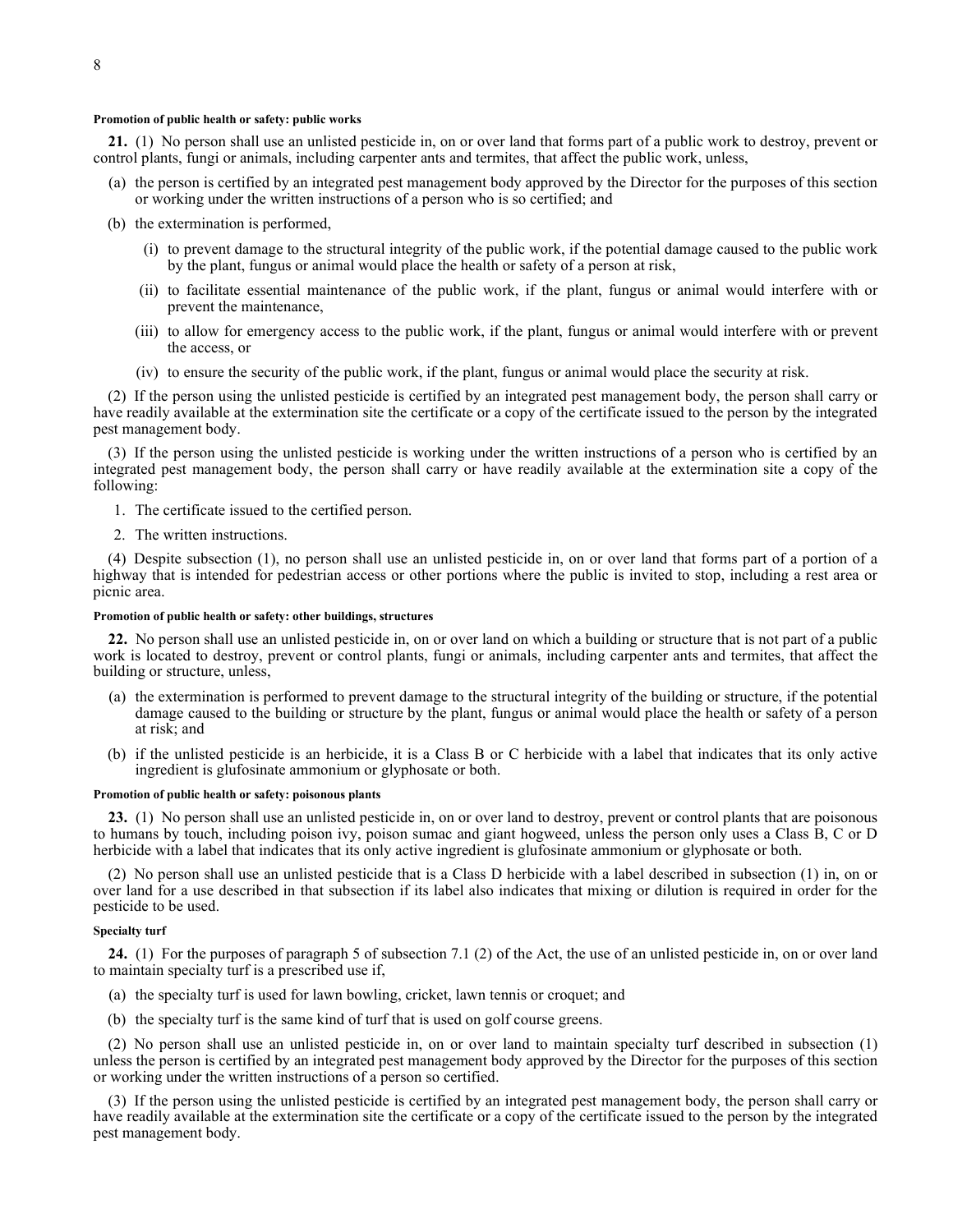#### **Promotion of public health or safety: public works**

**21.** (1) No person shall use an unlisted pesticide in, on or over land that forms part of a public work to destroy, prevent or control plants, fungi or animals, including carpenter ants and termites, that affect the public work, unless,

- (a) the person is certified by an integrated pest management body approved by the Director for the purposes of this section or working under the written instructions of a person who is so certified; and
- (b) the extermination is performed,
	- (i) to prevent damage to the structural integrity of the public work, if the potential damage caused to the public work by the plant, fungus or animal would place the health or safety of a person at risk,
	- (ii) to facilitate essential maintenance of the public work, if the plant, fungus or animal would interfere with or prevent the maintenance,
	- (iii) to allow for emergency access to the public work, if the plant, fungus or animal would interfere with or prevent the access, or
	- (iv) to ensure the security of the public work, if the plant, fungus or animal would place the security at risk.

(2) If the person using the unlisted pesticide is certified by an integrated pest management body, the person shall carry or have readily available at the extermination site the certificate or a copy of the certificate issued to the person by the integrated pest management body.

(3) If the person using the unlisted pesticide is working under the written instructions of a person who is certified by an integrated pest management body, the person shall carry or have readily available at the extermination site a copy of the following:

- 1. The certificate issued to the certified person.
- 2. The written instructions.

(4) Despite subsection (1), no person shall use an unlisted pesticide in, on or over land that forms part of a portion of a highway that is intended for pedestrian access or other portions where the public is invited to stop, including a rest area or picnic area.

#### **Promotion of public health or safety: other buildings, structures**

**22.** No person shall use an unlisted pesticide in, on or over land on which a building or structure that is not part of a public work is located to destroy, prevent or control plants, fungi or animals, including carpenter ants and termites, that affect the building or structure, unless,

- (a) the extermination is performed to prevent damage to the structural integrity of the building or structure, if the potential damage caused to the building or structure by the plant, fungus or animal would place the health or safety of a person at risk; and
- (b) if the unlisted pesticide is an herbicide, it is a Class B or C herbicide with a label that indicates that its only active ingredient is glufosinate ammonium or glyphosate or both.

#### **Promotion of public health or safety: poisonous plants**

**23.** (1) No person shall use an unlisted pesticide in, on or over land to destroy, prevent or control plants that are poisonous to humans by touch, including poison ivy, poison sumac and giant hogweed, unless the person only uses a Class B, C or D herbicide with a label that indicates that its only active ingredient is glufosinate ammonium or glyphosate or both.

(2) No person shall use an unlisted pesticide that is a Class D herbicide with a label described in subsection (1) in, on or over land for a use described in that subsection if its label also indicates that mixing or dilution is required in order for the pesticide to be used.

#### **Specialty turf**

**24.** (1) For the purposes of paragraph 5 of subsection 7.1 (2) of the Act, the use of an unlisted pesticide in, on or over land to maintain specialty turf is a prescribed use if,

- (a) the specialty turf is used for lawn bowling, cricket, lawn tennis or croquet; and
- (b) the specialty turf is the same kind of turf that is used on golf course greens.

(2) No person shall use an unlisted pesticide in, on or over land to maintain specialty turf described in subsection (1) unless the person is certified by an integrated pest management body approved by the Director for the purposes of this section or working under the written instructions of a person so certified.

(3) If the person using the unlisted pesticide is certified by an integrated pest management body, the person shall carry or have readily available at the extermination site the certificate or a copy of the certificate issued to the person by the integrated pest management body.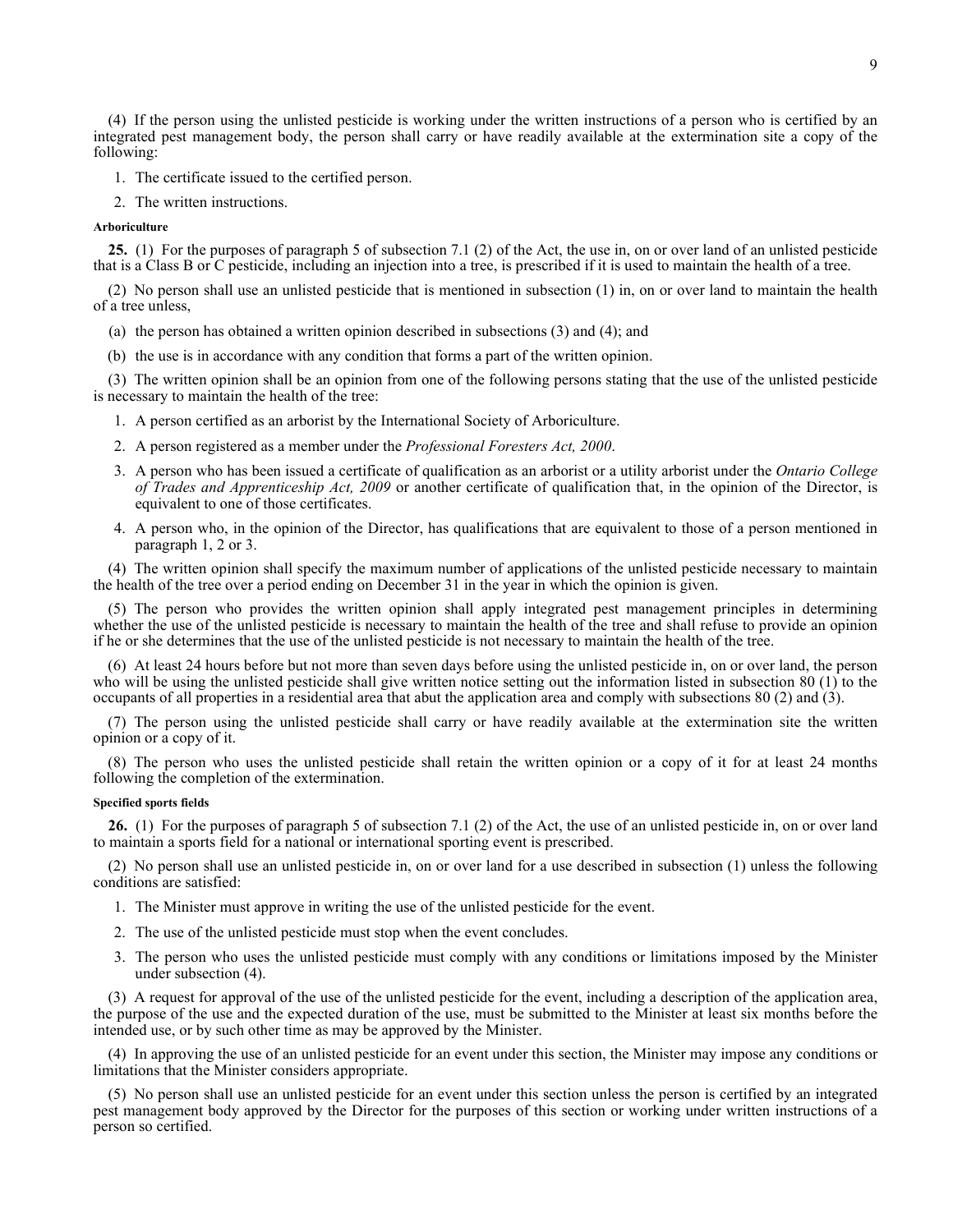(4) If the person using the unlisted pesticide is working under the written instructions of a person who is certified by an integrated pest management body, the person shall carry or have readily available at the extermination site a copy of the following:

- 1. The certificate issued to the certified person.
- 2. The written instructions.

#### **Arboriculture**

**25.** (1) For the purposes of paragraph 5 of subsection 7.1 (2) of the Act, the use in, on or over land of an unlisted pesticide that is a Class B or C pesticide, including an injection into a tree, is prescribed if it is used to maintain the health of a tree.

(2) No person shall use an unlisted pesticide that is mentioned in subsection (1) in, on or over land to maintain the health of a tree unless,

- (a) the person has obtained a written opinion described in subsections (3) and (4); and
- (b) the use is in accordance with any condition that forms a part of the written opinion.

(3) The written opinion shall be an opinion from one of the following persons stating that the use of the unlisted pesticide is necessary to maintain the health of the tree:

- 1. A person certified as an arborist by the International Society of Arboriculture.
- 2. A person registered as a member under the *Professional Foresters Act, 2000*.
- 3. A person who has been issued a certificate of qualification as an arborist or a utility arborist under the *Ontario College of Trades and Apprenticeship Act, 2009* or another certificate of qualification that, in the opinion of the Director, is equivalent to one of those certificates.
- 4. A person who, in the opinion of the Director, has qualifications that are equivalent to those of a person mentioned in paragraph 1, 2 or 3.

(4) The written opinion shall specify the maximum number of applications of the unlisted pesticide necessary to maintain the health of the tree over a period ending on December 31 in the year in which the opinion is given.

(5) The person who provides the written opinion shall apply integrated pest management principles in determining whether the use of the unlisted pesticide is necessary to maintain the health of the tree and shall refuse to provide an opinion if he or she determines that the use of the unlisted pesticide is not necessary to maintain the health of the tree.

(6) At least 24 hours before but not more than seven days before using the unlisted pesticide in, on or over land, the person who will be using the unlisted pesticide shall give written notice setting out the information listed in subsection 80 (1) to the occupants of all properties in a residential area that abut the application area and comply with subsections 80 (2) and (3).

(7) The person using the unlisted pesticide shall carry or have readily available at the extermination site the written opinion or a copy of it.

(8) The person who uses the unlisted pesticide shall retain the written opinion or a copy of it for at least 24 months following the completion of the extermination.

## **Specified sports fields**

**26.** (1) For the purposes of paragraph 5 of subsection 7.1 (2) of the Act, the use of an unlisted pesticide in, on or over land to maintain a sports field for a national or international sporting event is prescribed.

(2) No person shall use an unlisted pesticide in, on or over land for a use described in subsection (1) unless the following conditions are satisfied:

- 1. The Minister must approve in writing the use of the unlisted pesticide for the event.
- 2. The use of the unlisted pesticide must stop when the event concludes.
- 3. The person who uses the unlisted pesticide must comply with any conditions or limitations imposed by the Minister under subsection (4).

(3) A request for approval of the use of the unlisted pesticide for the event, including a description of the application area, the purpose of the use and the expected duration of the use, must be submitted to the Minister at least six months before the intended use, or by such other time as may be approved by the Minister.

(4) In approving the use of an unlisted pesticide for an event under this section, the Minister may impose any conditions or limitations that the Minister considers appropriate.

(5) No person shall use an unlisted pesticide for an event under this section unless the person is certified by an integrated pest management body approved by the Director for the purposes of this section or working under written instructions of a person so certified.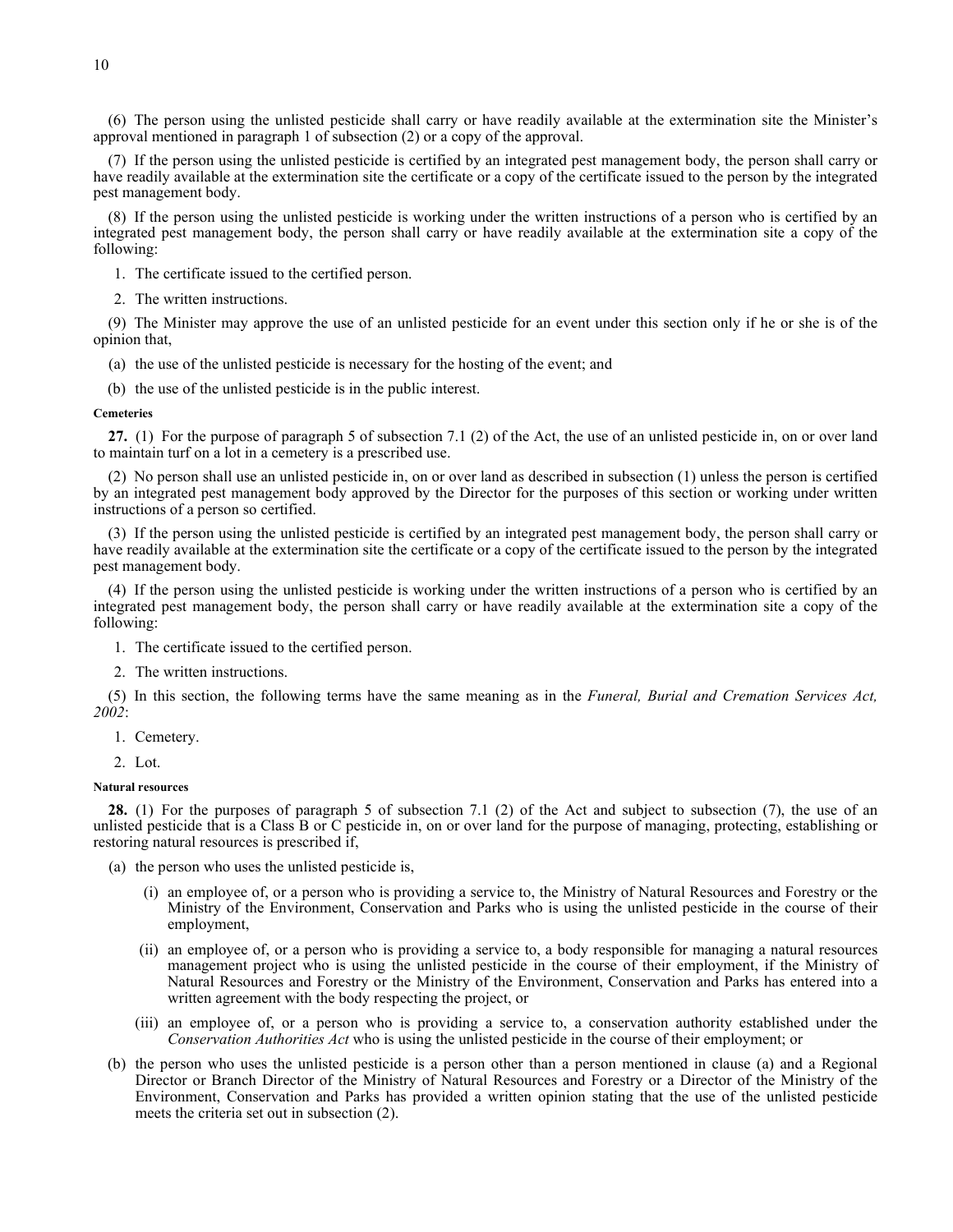(6) The person using the unlisted pesticide shall carry or have readily available at the extermination site the Minister's approval mentioned in paragraph 1 of subsection (2) or a copy of the approval.

(7) If the person using the unlisted pesticide is certified by an integrated pest management body, the person shall carry or have readily available at the extermination site the certificate or a copy of the certificate issued to the person by the integrated pest management body.

(8) If the person using the unlisted pesticide is working under the written instructions of a person who is certified by an integrated pest management body, the person shall carry or have readily available at the extermination site a copy of the following:

- 1. The certificate issued to the certified person.
- 2. The written instructions.

(9) The Minister may approve the use of an unlisted pesticide for an event under this section only if he or she is of the opinion that,

(a) the use of the unlisted pesticide is necessary for the hosting of the event; and

(b) the use of the unlisted pesticide is in the public interest.

#### **Cemeteries**

**27.** (1) For the purpose of paragraph 5 of subsection 7.1 (2) of the Act, the use of an unlisted pesticide in, on or over land to maintain turf on a lot in a cemetery is a prescribed use.

(2) No person shall use an unlisted pesticide in, on or over land as described in subsection (1) unless the person is certified by an integrated pest management body approved by the Director for the purposes of this section or working under written instructions of a person so certified.

(3) If the person using the unlisted pesticide is certified by an integrated pest management body, the person shall carry or have readily available at the extermination site the certificate or a copy of the certificate issued to the person by the integrated pest management body.

(4) If the person using the unlisted pesticide is working under the written instructions of a person who is certified by an integrated pest management body, the person shall carry or have readily available at the extermination site a copy of the following:

- 1. The certificate issued to the certified person.
- 2. The written instructions.

(5) In this section, the following terms have the same meaning as in the *Funeral, Burial and Cremation Services Act, 2002*:

- 1. Cemetery.
- 2. Lot.

### **Natural resources**

**28.** (1) For the purposes of paragraph 5 of subsection 7.1 (2) of the Act and subject to subsection (7), the use of an unlisted pesticide that is a Class B or C pesticide in, on or over land for the purpose of managing, protecting, establishing or restoring natural resources is prescribed if,

- (a) the person who uses the unlisted pesticide is,
	- (i) an employee of, or a person who is providing a service to, the Ministry of Natural Resources and Forestry or the Ministry of the Environment, Conservation and Parks who is using the unlisted pesticide in the course of their employment,
	- (ii) an employee of, or a person who is providing a service to, a body responsible for managing a natural resources management project who is using the unlisted pesticide in the course of their employment, if the Ministry of Natural Resources and Forestry or the Ministry of the Environment, Conservation and Parks has entered into a written agreement with the body respecting the project, or
	- (iii) an employee of, or a person who is providing a service to, a conservation authority established under the *Conservation Authorities Act* who is using the unlisted pesticide in the course of their employment; or
- (b) the person who uses the unlisted pesticide is a person other than a person mentioned in clause (a) and a Regional Director or Branch Director of the Ministry of Natural Resources and Forestry or a Director of the Ministry of the Environment, Conservation and Parks has provided a written opinion stating that the use of the unlisted pesticide meets the criteria set out in subsection (2).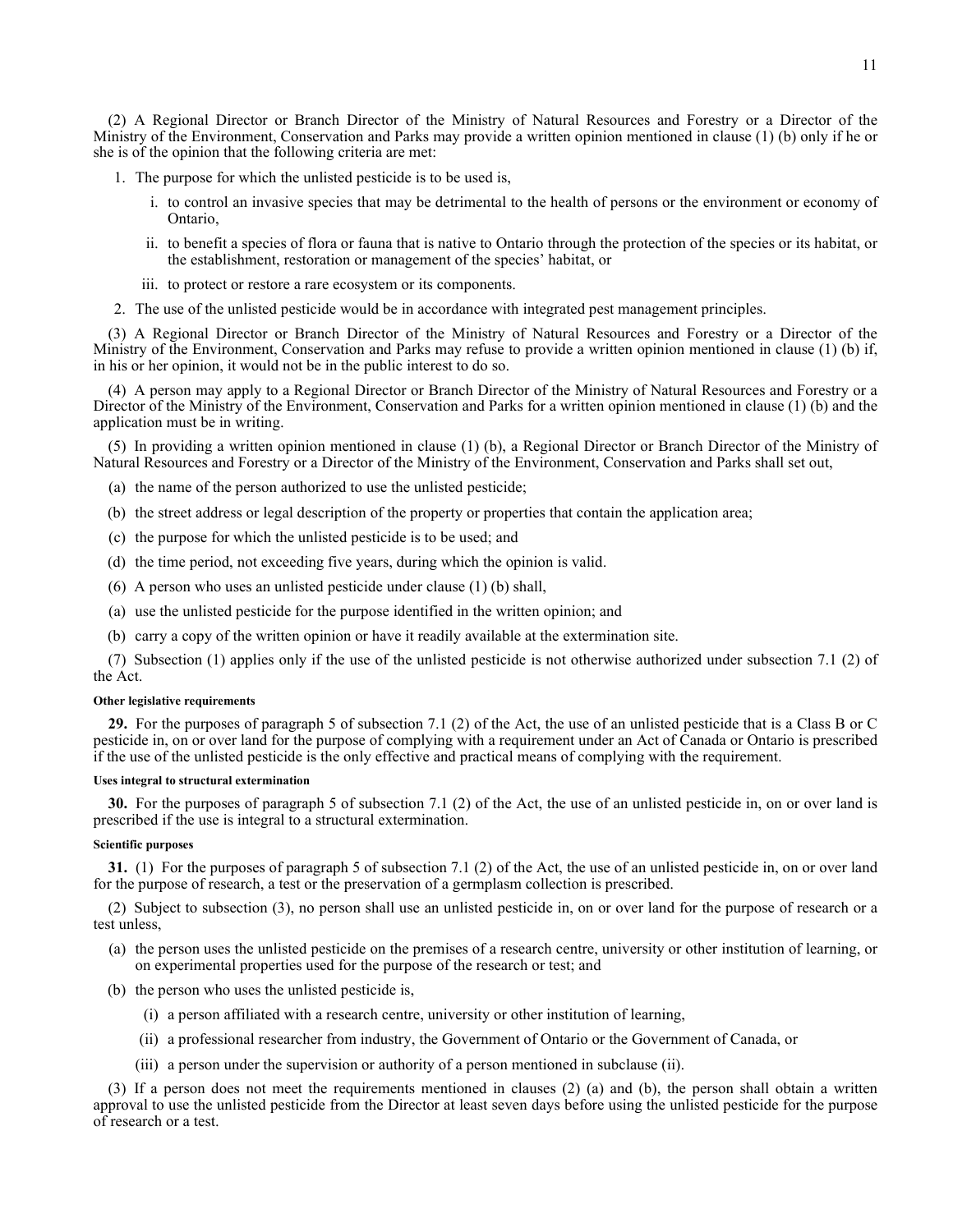(2) A Regional Director or Branch Director of the Ministry of Natural Resources and Forestry or a Director of the Ministry of the Environment, Conservation and Parks may provide a written opinion mentioned in clause (1) (b) only if he or she is of the opinion that the following criteria are met:

- 1. The purpose for which the unlisted pesticide is to be used is,
	- i. to control an invasive species that may be detrimental to the health of persons or the environment or economy of Ontario,
	- ii. to benefit a species of flora or fauna that is native to Ontario through the protection of the species or its habitat, or the establishment, restoration or management of the species' habitat, or
	- iii. to protect or restore a rare ecosystem or its components.
- 2. The use of the unlisted pesticide would be in accordance with integrated pest management principles.

(3) A Regional Director or Branch Director of the Ministry of Natural Resources and Forestry or a Director of the Ministry of the Environment, Conservation and Parks may refuse to provide a written opinion mentioned in clause (1) (b) if, in his or her opinion, it would not be in the public interest to do so.

(4) A person may apply to a Regional Director or Branch Director of the Ministry of Natural Resources and Forestry or a Director of the Ministry of the Environment, Conservation and Parks for a written opinion mentioned in clause (1) (b) and the application must be in writing.

(5) In providing a written opinion mentioned in clause (1) (b), a Regional Director or Branch Director of the Ministry of Natural Resources and Forestry or a Director of the Ministry of the Environment, Conservation and Parks shall set out,

- (a) the name of the person authorized to use the unlisted pesticide;
- (b) the street address or legal description of the property or properties that contain the application area;
- (c) the purpose for which the unlisted pesticide is to be used; and
- (d) the time period, not exceeding five years, during which the opinion is valid.
- (6) A person who uses an unlisted pesticide under clause (1) (b) shall,
- (a) use the unlisted pesticide for the purpose identified in the written opinion; and
- (b) carry a copy of the written opinion or have it readily available at the extermination site.

(7) Subsection (1) applies only if the use of the unlisted pesticide is not otherwise authorized under subsection 7.1 (2) of the Act.

#### **Other legislative requirements**

**29.** For the purposes of paragraph 5 of subsection 7.1 (2) of the Act, the use of an unlisted pesticide that is a Class B or C pesticide in, on or over land for the purpose of complying with a requirement under an Act of Canada or Ontario is prescribed if the use of the unlisted pesticide is the only effective and practical means of complying with the requirement.

## **Uses integral to structural extermination**

**30.** For the purposes of paragraph 5 of subsection 7.1 (2) of the Act, the use of an unlisted pesticide in, on or over land is prescribed if the use is integral to a structural extermination.

### **Scientific purposes**

**31.** (1) For the purposes of paragraph 5 of subsection 7.1 (2) of the Act, the use of an unlisted pesticide in, on or over land for the purpose of research, a test or the preservation of a germplasm collection is prescribed.

(2) Subject to subsection (3), no person shall use an unlisted pesticide in, on or over land for the purpose of research or a test unless,

- (a) the person uses the unlisted pesticide on the premises of a research centre, university or other institution of learning, or on experimental properties used for the purpose of the research or test; and
- (b) the person who uses the unlisted pesticide is,
	- (i) a person affiliated with a research centre, university or other institution of learning,
	- (ii) a professional researcher from industry, the Government of Ontario or the Government of Canada, or
	- (iii) a person under the supervision or authority of a person mentioned in subclause (ii).

(3) If a person does not meet the requirements mentioned in clauses (2) (a) and (b), the person shall obtain a written approval to use the unlisted pesticide from the Director at least seven days before using the unlisted pesticide for the purpose of research or a test.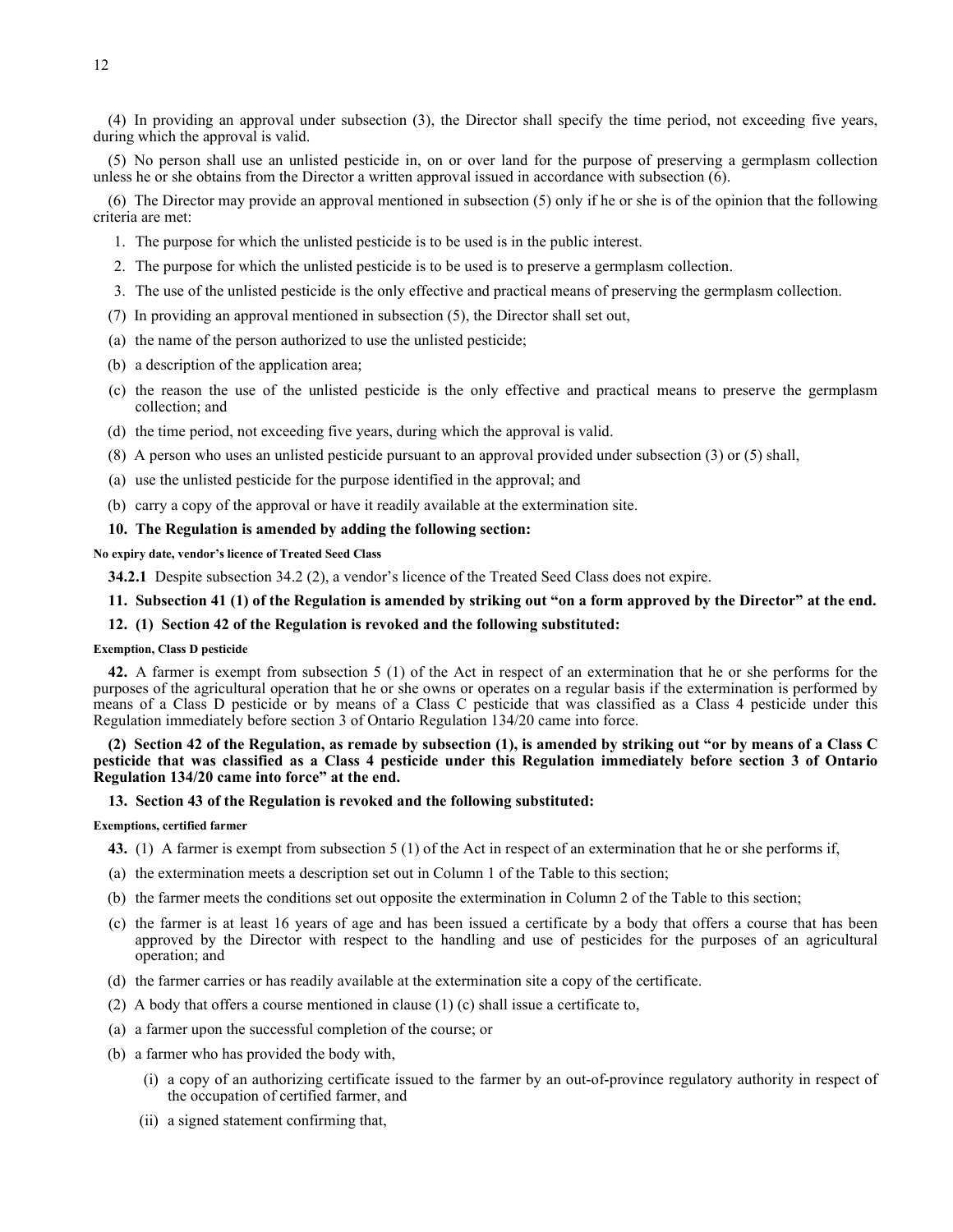(4) In providing an approval under subsection (3), the Director shall specify the time period, not exceeding five years, during which the approval is valid.

(5) No person shall use an unlisted pesticide in, on or over land for the purpose of preserving a germplasm collection unless he or she obtains from the Director a written approval issued in accordance with subsection (6).

(6) The Director may provide an approval mentioned in subsection (5) only if he or she is of the opinion that the following criteria are met:

- 1. The purpose for which the unlisted pesticide is to be used is in the public interest.
- 2. The purpose for which the unlisted pesticide is to be used is to preserve a germplasm collection.
- 3. The use of the unlisted pesticide is the only effective and practical means of preserving the germplasm collection.
- (7) In providing an approval mentioned in subsection (5), the Director shall set out,
- (a) the name of the person authorized to use the unlisted pesticide;
- (b) a description of the application area;
- (c) the reason the use of the unlisted pesticide is the only effective and practical means to preserve the germplasm collection; and
- (d) the time period, not exceeding five years, during which the approval is valid.
- (8) A person who uses an unlisted pesticide pursuant to an approval provided under subsection (3) or (5) shall,
- (a) use the unlisted pesticide for the purpose identified in the approval; and
- (b) carry a copy of the approval or have it readily available at the extermination site.

## **10. The Regulation is amended by adding the following section:**

**No expiry date, vendor's licence of Treated Seed Class**

**34.2.1** Despite subsection 34.2 (2), a vendor's licence of the Treated Seed Class does not expire.

## **11. Subsection 41 (1) of the Regulation is amended by striking out "on a form approved by the Director" at the end.**

### **12. (1) Section 42 of the Regulation is revoked and the following substituted:**

## **Exemption, Class D pesticide**

**42.** A farmer is exempt from subsection 5 (1) of the Act in respect of an extermination that he or she performs for the purposes of the agricultural operation that he or she owns or operates on a regular basis if the extermination is performed by means of a Class D pesticide or by means of a Class C pesticide that was classified as a Class 4 pesticide under this Regulation immediately before section 3 of Ontario Regulation 134/20 came into force.

## **(2) Section 42 of the Regulation, as remade by subsection (1), is amended by striking out "or by means of a Class C pesticide that was classified as a Class 4 pesticide under this Regulation immediately before section 3 of Ontario Regulation 134/20 came into force" at the end.**

## **13. Section 43 of the Regulation is revoked and the following substituted:**

#### **Exemptions, certified farmer**

- **43.** (1) A farmer is exempt from subsection 5 (1) of the Act in respect of an extermination that he or she performs if,
- (a) the extermination meets a description set out in Column 1 of the Table to this section;
- (b) the farmer meets the conditions set out opposite the extermination in Column 2 of the Table to this section;
- (c) the farmer is at least 16 years of age and has been issued a certificate by a body that offers a course that has been approved by the Director with respect to the handling and use of pesticides for the purposes of an agricultural operation; and
- (d) the farmer carries or has readily available at the extermination site a copy of the certificate.
- (2) A body that offers a course mentioned in clause (1) (c) shall issue a certificate to,
- (a) a farmer upon the successful completion of the course; or
- (b) a farmer who has provided the body with,
	- (i) a copy of an authorizing certificate issued to the farmer by an out-of-province regulatory authority in respect of the occupation of certified farmer, and
	- (ii) a signed statement confirming that,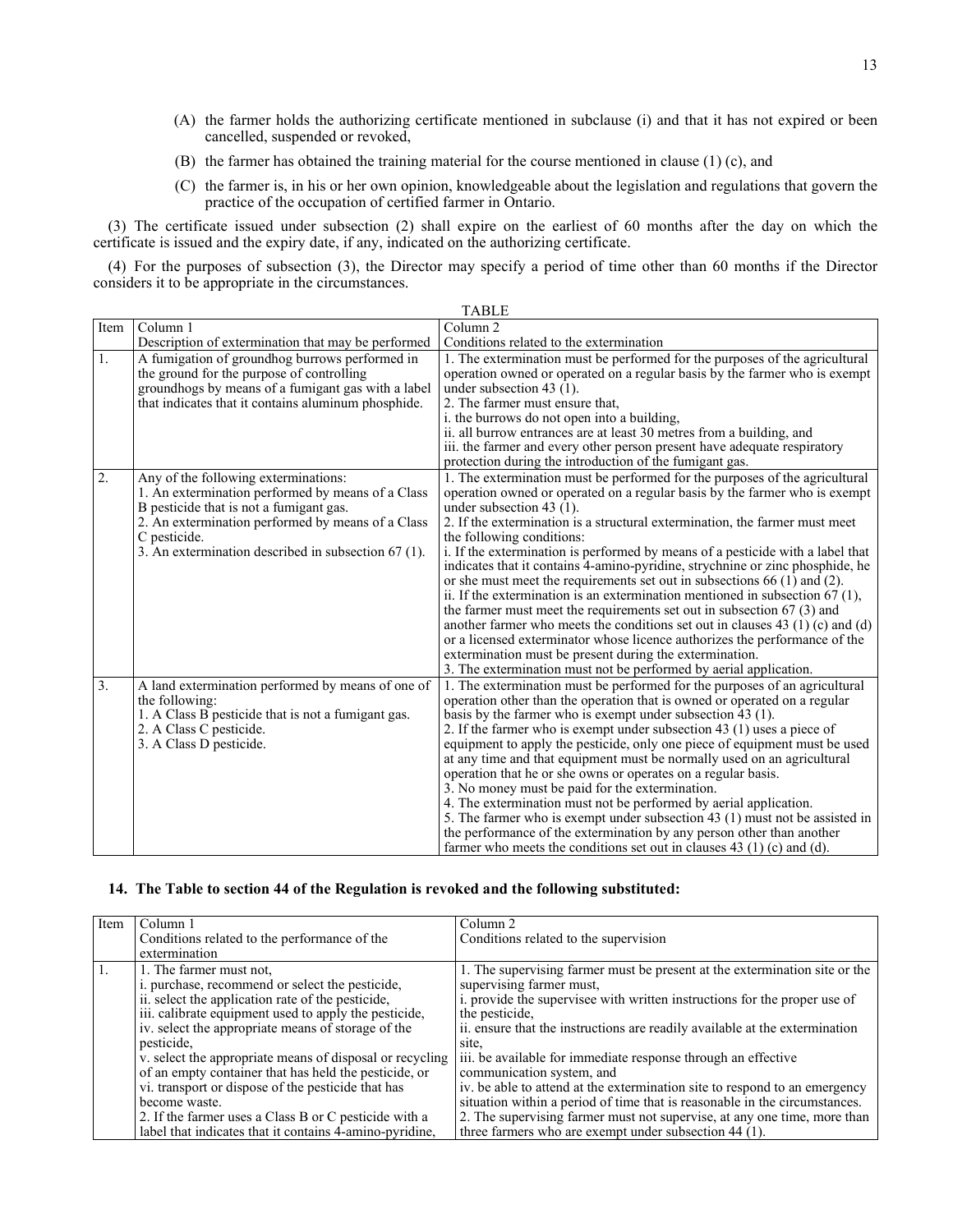- (A) the farmer holds the authorizing certificate mentioned in subclause (i) and that it has not expired or been cancelled, suspended or revoked,
- (B) the farmer has obtained the training material for the course mentioned in clause (1) (c), and
- (C) the farmer is, in his or her own opinion, knowledgeable about the legislation and regulations that govern the practice of the occupation of certified farmer in Ontario.

(3) The certificate issued under subsection (2) shall expire on the earliest of 60 months after the day on which the certificate is issued and the expiry date, if any, indicated on the authorizing certificate.

(4) For the purposes of subsection (3), the Director may specify a period of time other than 60 months if the Director considers it to be appropriate in the circumstances.

|      |                                                                                                                                                                                                                                                                  | <b>TABLE</b>                                                                                                                                                                                                                                                                                                                                                                                                                                                                                                                                                                                                                                                                                                                                                                                                                                                                                                                                                                                                   |
|------|------------------------------------------------------------------------------------------------------------------------------------------------------------------------------------------------------------------------------------------------------------------|----------------------------------------------------------------------------------------------------------------------------------------------------------------------------------------------------------------------------------------------------------------------------------------------------------------------------------------------------------------------------------------------------------------------------------------------------------------------------------------------------------------------------------------------------------------------------------------------------------------------------------------------------------------------------------------------------------------------------------------------------------------------------------------------------------------------------------------------------------------------------------------------------------------------------------------------------------------------------------------------------------------|
| Item | Column 1                                                                                                                                                                                                                                                         | Column <sub>2</sub>                                                                                                                                                                                                                                                                                                                                                                                                                                                                                                                                                                                                                                                                                                                                                                                                                                                                                                                                                                                            |
|      | Description of extermination that may be performed                                                                                                                                                                                                               | Conditions related to the extermination                                                                                                                                                                                                                                                                                                                                                                                                                                                                                                                                                                                                                                                                                                                                                                                                                                                                                                                                                                        |
| 1.   | A fumigation of groundhog burrows performed in<br>the ground for the purpose of controlling<br>groundhogs by means of a fumigant gas with a label<br>that indicates that it contains aluminum phosphide.                                                         | 1. The extermination must be performed for the purposes of the agricultural<br>operation owned or operated on a regular basis by the farmer who is exempt<br>under subsection 43 (1).<br>2. The farmer must ensure that.<br>i. the burrows do not open into a building,<br>ii. all burrow entrances are at least 30 metres from a building, and<br>iii. the farmer and every other person present have adequate respiratory<br>protection during the introduction of the fumigant gas.                                                                                                                                                                                                                                                                                                                                                                                                                                                                                                                         |
| 2.   | Any of the following exterminations:<br>1. An extermination performed by means of a Class<br>B pesticide that is not a fumigant gas.<br>2. An extermination performed by means of a Class<br>C pesticide.<br>3. An extermination described in subsection 67 (1). | 1. The extermination must be performed for the purposes of the agricultural<br>operation owned or operated on a regular basis by the farmer who is exempt<br>under subsection 43 (1).<br>2. If the extermination is a structural extermination, the farmer must meet<br>the following conditions:<br>i. If the extermination is performed by means of a pesticide with a label that<br>indicates that it contains 4-amino-pyridine, strychnine or zinc phosphide, he<br>or she must meet the requirements set out in subsections 66 (1) and (2).<br>ii. If the extermination is an extermination mentioned in subsection $67(1)$ ,<br>the farmer must meet the requirements set out in subsection $67(3)$ and<br>another farmer who meets the conditions set out in clauses $43(1)(c)$ and $(d)$<br>or a licensed exterminator whose licence authorizes the performance of the<br>extermination must be present during the extermination.<br>3. The extermination must not be performed by aerial application. |
| 3.   | A land extermination performed by means of one of<br>the following:<br>1. A Class B pesticide that is not a fumigant gas.<br>2. A Class C pesticide.<br>3. A Class D pesticide.                                                                                  | 1. The extermination must be performed for the purposes of an agricultural<br>operation other than the operation that is owned or operated on a regular<br>basis by the farmer who is exempt under subsection 43 (1).<br>2. If the farmer who is exempt under subsection 43 (1) uses a piece of<br>equipment to apply the pesticide, only one piece of equipment must be used<br>at any time and that equipment must be normally used on an agricultural<br>operation that he or she owns or operates on a regular basis.<br>3. No money must be paid for the extermination.<br>4. The extermination must not be performed by aerial application.<br>5. The farmer who is exempt under subsection 43 (1) must not be assisted in<br>the performance of the extermination by any person other than another<br>farmer who meets the conditions set out in clauses $43$ (1) (c) and (d).                                                                                                                          |

# **14. The Table to section 44 of the Regulation is revoked and the following substituted:**

| Item | Column 1                                                 | Column 2                                                                    |
|------|----------------------------------------------------------|-----------------------------------------------------------------------------|
|      | Conditions related to the performance of the             | Conditions related to the supervision                                       |
|      | extermination                                            |                                                                             |
|      | 1. The farmer must not,                                  | 1. The supervising farmer must be present at the extermination site or the  |
|      | i. purchase, recommend or select the pesticide,          | supervising farmer must,                                                    |
|      | ii. select the application rate of the pesticide,        | i. provide the supervisee with written instructions for the proper use of   |
|      | iii. calibrate equipment used to apply the pesticide,    | the pesticide,                                                              |
|      | iv. select the appropriate means of storage of the       | ii. ensure that the instructions are readily available at the extermination |
|      | pesticide,                                               | site.                                                                       |
|      | v. select the appropriate means of disposal or recycling | iii. be available for immediate response through an effective               |
|      | of an empty container that has held the pesticide, or    | communication system, and                                                   |
|      | vi. transport or dispose of the pesticide that has       | iv. be able to attend at the extermination site to respond to an emergency  |
|      | become waste.                                            | situation within a period of time that is reasonable in the circumstances.  |
|      | 2. If the farmer uses a Class B or C pesticide with a    | 2. The supervising farmer must not supervise, at any one time, more than    |
|      | label that indicates that it contains 4-amino-pyridine,  | three farmers who are exempt under subsection 44 (1).                       |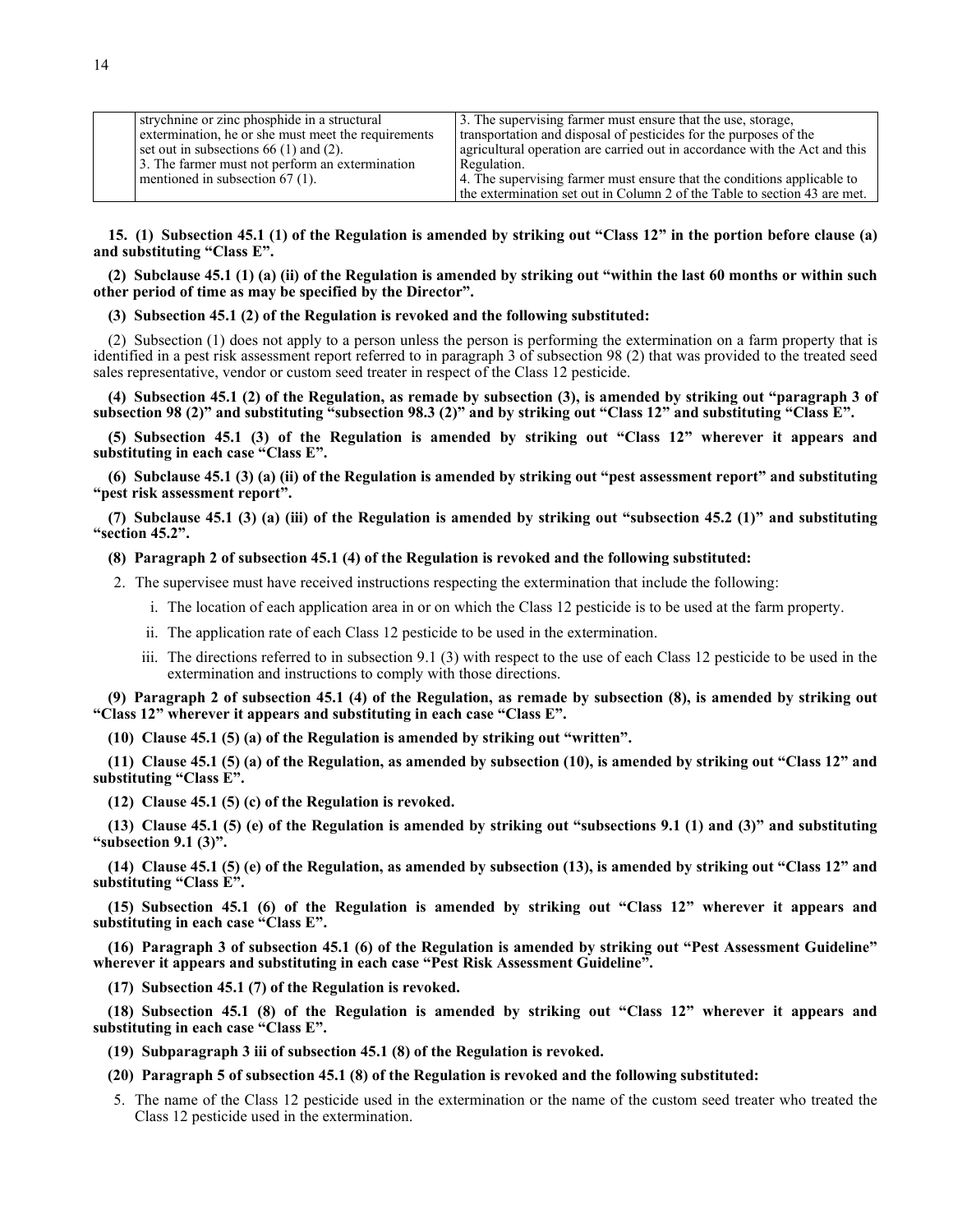| strychnine or zinc phosphide in a structural        | 3. The supervising farmer must ensure that the use, storage,               |
|-----------------------------------------------------|----------------------------------------------------------------------------|
| extermination, he or she must meet the requirements | transportation and disposal of pesticides for the purposes of the          |
| set out in subsections $66(1)$ and $(2)$ .          | agricultural operation are carried out in accordance with the Act and this |
| 3. The farmer must not perform an extermination     | Regulation.                                                                |
| mentioned in subsection $67(1)$ .                   | 4. The supervising farmer must ensure that the conditions applicable to    |
|                                                     | the extermination set out in Column 2 of the Table to section 43 are met.  |

**15. (1) Subsection 45.1 (1) of the Regulation is amended by striking out "Class 12" in the portion before clause (a) and substituting "Class E".**

**(2) Subclause 45.1 (1) (a) (ii) of the Regulation is amended by striking out "within the last 60 months or within such other period of time as may be specified by the Director".**

**(3) Subsection 45.1 (2) of the Regulation is revoked and the following substituted:**

(2) Subsection (1) does not apply to a person unless the person is performing the extermination on a farm property that is identified in a pest risk assessment report referred to in paragraph 3 of subsection 98 (2) that was provided to the treated seed sales representative, vendor or custom seed treater in respect of the Class 12 pesticide.

**(4) Subsection 45.1 (2) of the Regulation, as remade by subsection (3), is amended by striking out "paragraph 3 of subsection 98 (2)" and substituting "subsection 98.3 (2)" and by striking out "Class 12" and substituting "Class E".**

**(5) Subsection 45.1 (3) of the Regulation is amended by striking out "Class 12" wherever it appears and substituting in each case "Class E".**

**(6) Subclause 45.1 (3) (a) (ii) of the Regulation is amended by striking out "pest assessment report" and substituting "pest risk assessment report".**

**(7) Subclause 45.1 (3) (a) (iii) of the Regulation is amended by striking out "subsection 45.2 (1)" and substituting "section 45.2".**

# **(8) Paragraph 2 of subsection 45.1 (4) of the Regulation is revoked and the following substituted:**

- 2. The supervisee must have received instructions respecting the extermination that include the following:
	- i. The location of each application area in or on which the Class 12 pesticide is to be used at the farm property.
	- ii. The application rate of each Class 12 pesticide to be used in the extermination.
	- iii. The directions referred to in subsection 9.1 (3) with respect to the use of each Class 12 pesticide to be used in the extermination and instructions to comply with those directions.

**(9) Paragraph 2 of subsection 45.1 (4) of the Regulation, as remade by subsection (8), is amended by striking out "Class 12" wherever it appears and substituting in each case "Class E".**

**(10) Clause 45.1 (5) (a) of the Regulation is amended by striking out "written".**

**(11) Clause 45.1 (5) (a) of the Regulation, as amended by subsection (10), is amended by striking out "Class 12" and substituting "Class E".**

**(12) Clause 45.1 (5) (c) of the Regulation is revoked.**

**(13) Clause 45.1 (5) (e) of the Regulation is amended by striking out "subsections 9.1 (1) and (3)" and substituting "subsection 9.1 (3)".**

**(14) Clause 45.1 (5) (e) of the Regulation, as amended by subsection (13), is amended by striking out "Class 12" and substituting "Class E".**

**(15) Subsection 45.1 (6) of the Regulation is amended by striking out "Class 12" wherever it appears and substituting in each case "Class E".**

**(16) Paragraph 3 of subsection 45.1 (6) of the Regulation is amended by striking out "Pest Assessment Guideline" wherever it appears and substituting in each case "Pest Risk Assessment Guideline".**

**(17) Subsection 45.1 (7) of the Regulation is revoked.**

**(18) Subsection 45.1 (8) of the Regulation is amended by striking out "Class 12" wherever it appears and substituting in each case "Class E".**

**(19) Subparagraph 3 iii of subsection 45.1 (8) of the Regulation is revoked.**

**(20) Paragraph 5 of subsection 45.1 (8) of the Regulation is revoked and the following substituted:**

5. The name of the Class 12 pesticide used in the extermination or the name of the custom seed treater who treated the Class 12 pesticide used in the extermination.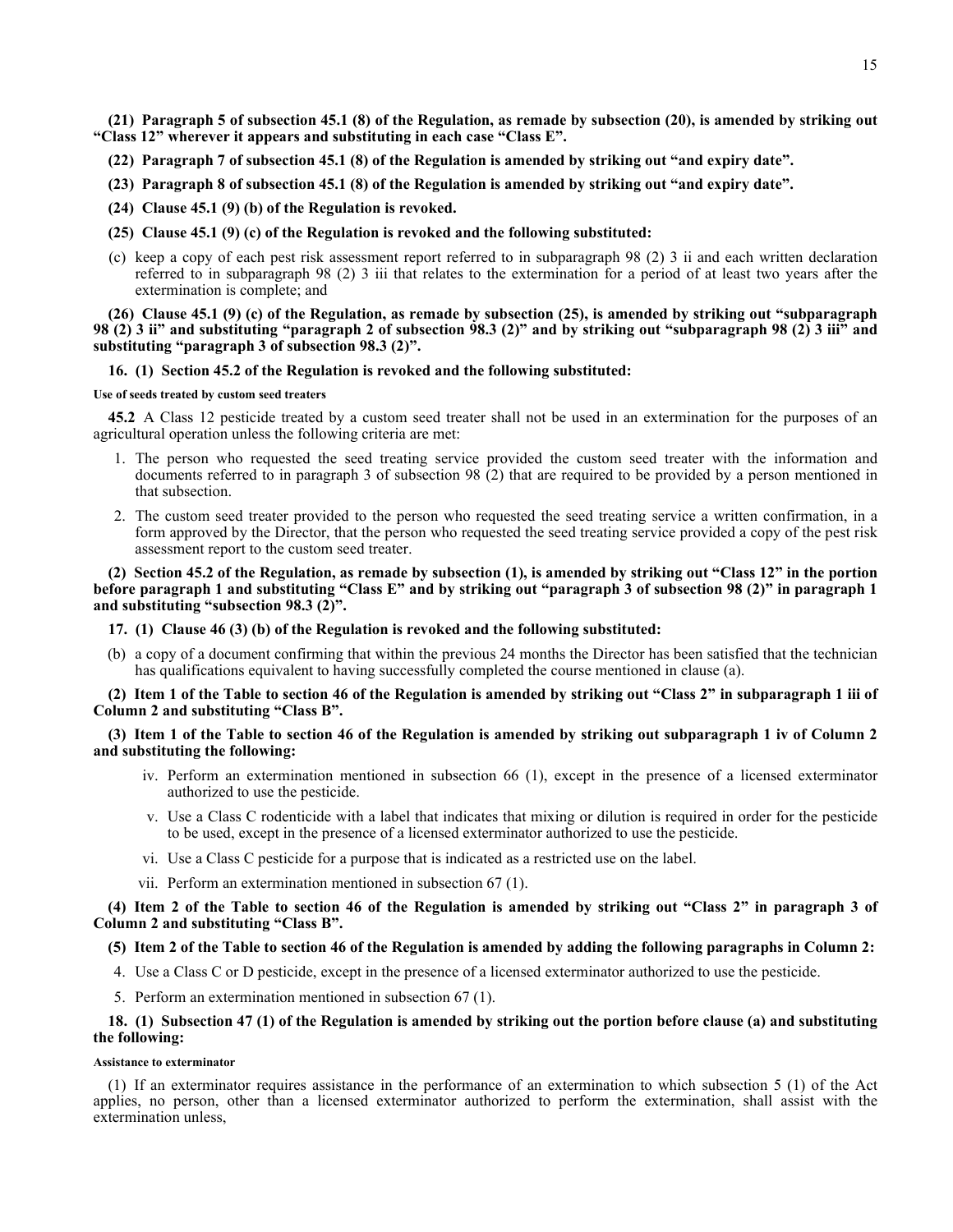**(21) Paragraph 5 of subsection 45.1 (8) of the Regulation, as remade by subsection (20), is amended by striking out "Class 12" wherever it appears and substituting in each case "Class E".**

- **(22) Paragraph 7 of subsection 45.1 (8) of the Regulation is amended by striking out "and expiry date".**
- **(23) Paragraph 8 of subsection 45.1 (8) of the Regulation is amended by striking out "and expiry date".**
- **(24) Clause 45.1 (9) (b) of the Regulation is revoked.**
- **(25) Clause 45.1 (9) (c) of the Regulation is revoked and the following substituted:**
- (c) keep a copy of each pest risk assessment report referred to in subparagraph 98 (2) 3 ii and each written declaration referred to in subparagraph 98 (2) 3 iii that relates to the extermination for a period of at least two years after the extermination is complete; and

**(26) Clause 45.1 (9) (c) of the Regulation, as remade by subsection (25), is amended by striking out "subparagraph 98 (2) 3 ii" and substituting "paragraph 2 of subsection 98.3 (2)" and by striking out "subparagraph 98 (2) 3 iii" and substituting "paragraph 3 of subsection 98.3 (2)".**

### **16. (1) Section 45.2 of the Regulation is revoked and the following substituted:**

#### **Use of seeds treated by custom seed treaters**

**45.2** A Class 12 pesticide treated by a custom seed treater shall not be used in an extermination for the purposes of an agricultural operation unless the following criteria are met:

- 1. The person who requested the seed treating service provided the custom seed treater with the information and documents referred to in paragraph 3 of subsection 98 (2) that are required to be provided by a person mentioned in that subsection.
- 2. The custom seed treater provided to the person who requested the seed treating service a written confirmation, in a form approved by the Director, that the person who requested the seed treating service provided a copy of the pest risk assessment report to the custom seed treater.

# **(2) Section 45.2 of the Regulation, as remade by subsection (1), is amended by striking out "Class 12" in the portion before paragraph 1 and substituting "Class E" and by striking out "paragraph 3 of subsection 98 (2)" in paragraph 1 and substituting "subsection 98.3 (2)".**

### **17. (1) Clause 46 (3) (b) of the Regulation is revoked and the following substituted:**

(b) a copy of a document confirming that within the previous 24 months the Director has been satisfied that the technician has qualifications equivalent to having successfully completed the course mentioned in clause (a).

# **(2) Item 1 of the Table to section 46 of the Regulation is amended by striking out "Class 2" in subparagraph 1 iii of Column 2 and substituting "Class B".**

## **(3) Item 1 of the Table to section 46 of the Regulation is amended by striking out subparagraph 1 iv of Column 2 and substituting the following:**

- iv. Perform an extermination mentioned in subsection 66 (1), except in the presence of a licensed exterminator authorized to use the pesticide.
- v. Use a Class C rodenticide with a label that indicates that mixing or dilution is required in order for the pesticide to be used, except in the presence of a licensed exterminator authorized to use the pesticide.
- vi. Use a Class C pesticide for a purpose that is indicated as a restricted use on the label.
- vii. Perform an extermination mentioned in subsection 67 (1).

**(4) Item 2 of the Table to section 46 of the Regulation is amended by striking out "Class 2" in paragraph 3 of Column 2 and substituting "Class B".**

# **(5) Item 2 of the Table to section 46 of the Regulation is amended by adding the following paragraphs in Column 2:**

- 4. Use a Class C or D pesticide, except in the presence of a licensed exterminator authorized to use the pesticide.
- 5. Perform an extermination mentioned in subsection 67 (1).

## **18. (1) Subsection 47 (1) of the Regulation is amended by striking out the portion before clause (a) and substituting the following:**

#### **Assistance to exterminator**

(1) If an exterminator requires assistance in the performance of an extermination to which subsection 5 (1) of the Act applies, no person, other than a licensed exterminator authorized to perform the extermination, shall assist with the extermination unless,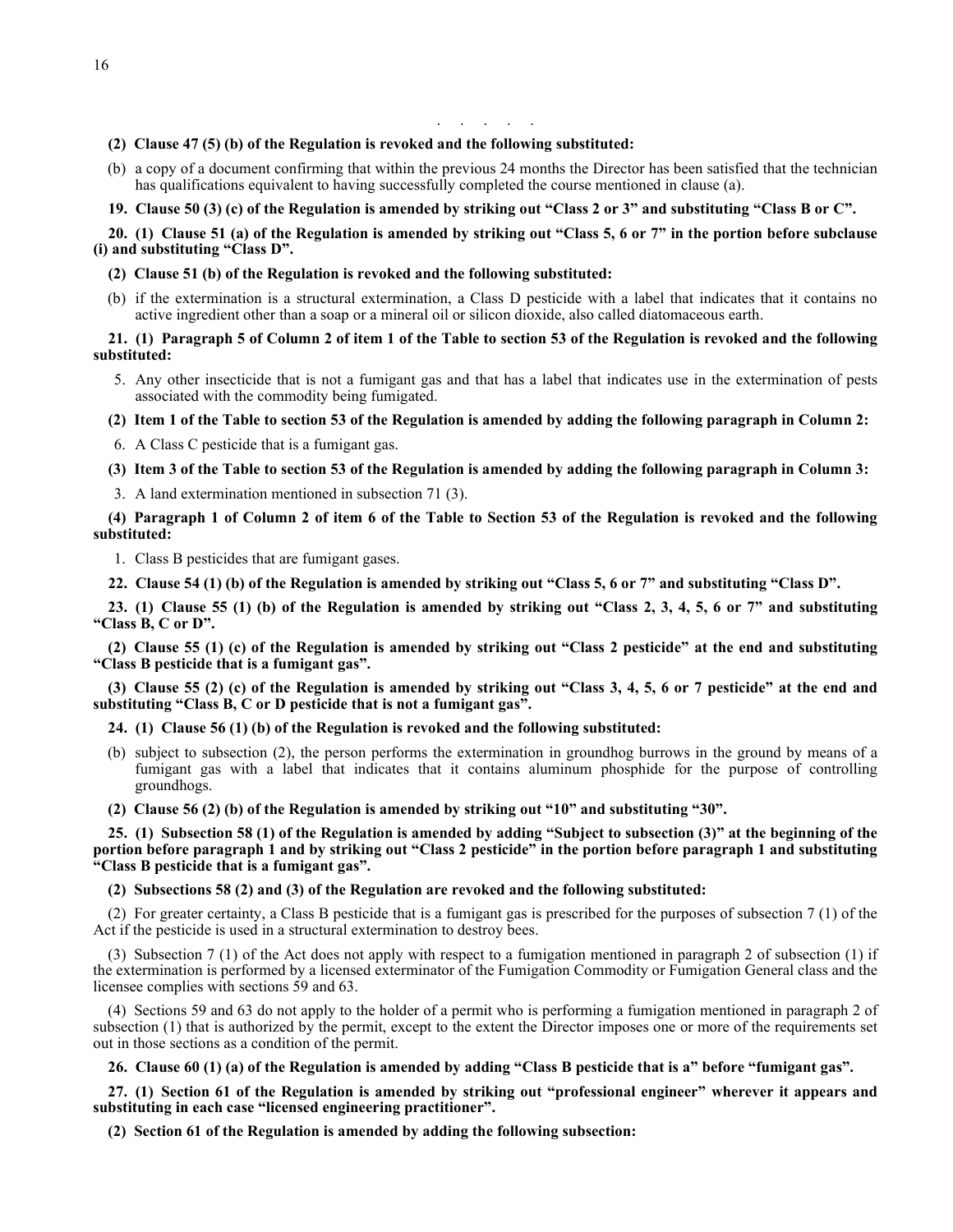. . . . . . . .

## **(2) Clause 47 (5) (b) of the Regulation is revoked and the following substituted:**

(b) a copy of a document confirming that within the previous 24 months the Director has been satisfied that the technician has qualifications equivalent to having successfully completed the course mentioned in clause (a).

### **19. Clause 50 (3) (c) of the Regulation is amended by striking out "Class 2 or 3" and substituting "Class B or C".**

**20. (1) Clause 51 (a) of the Regulation is amended by striking out "Class 5, 6 or 7" in the portion before subclause (i) and substituting "Class D".**

### **(2) Clause 51 (b) of the Regulation is revoked and the following substituted:**

(b) if the extermination is a structural extermination, a Class D pesticide with a label that indicates that it contains no active ingredient other than a soap or a mineral oil or silicon dioxide, also called diatomaceous earth.

# **21. (1) Paragraph 5 of Column 2 of item 1 of the Table to section 53 of the Regulation is revoked and the following substituted:**

- 5. Any other insecticide that is not a fumigant gas and that has a label that indicates use in the extermination of pests associated with the commodity being fumigated.
- **(2) Item 1 of the Table to section 53 of the Regulation is amended by adding the following paragraph in Column 2:**

6. A Class C pesticide that is a fumigant gas.

**(3) Item 3 of the Table to section 53 of the Regulation is amended by adding the following paragraph in Column 3:**

3. A land extermination mentioned in subsection 71 (3).

**(4) Paragraph 1 of Column 2 of item 6 of the Table to Section 53 of the Regulation is revoked and the following substituted:**

1. Class B pesticides that are fumigant gases.

**22. Clause 54 (1) (b) of the Regulation is amended by striking out "Class 5, 6 or 7" and substituting "Class D".**

**23. (1) Clause 55 (1) (b) of the Regulation is amended by striking out "Class 2, 3, 4, 5, 6 or 7" and substituting "Class B, C or D".**

**(2) Clause 55 (1) (c) of the Regulation is amended by striking out "Class 2 pesticide" at the end and substituting "Class B pesticide that is a fumigant gas".**

**(3) Clause 55 (2) (c) of the Regulation is amended by striking out "Class 3, 4, 5, 6 or 7 pesticide" at the end and substituting "Class B, C or D pesticide that is not a fumigant gas".**

## **24. (1) Clause 56 (1) (b) of the Regulation is revoked and the following substituted:**

- (b) subject to subsection (2), the person performs the extermination in groundhog burrows in the ground by means of a fumigant gas with a label that indicates that it contains aluminum phosphide for the purpose of controlling groundhogs.
- **(2) Clause 56 (2) (b) of the Regulation is amended by striking out "10" and substituting "30".**

**25. (1) Subsection 58 (1) of the Regulation is amended by adding "Subject to subsection (3)" at the beginning of the portion before paragraph 1 and by striking out "Class 2 pesticide" in the portion before paragraph 1 and substituting "Class B pesticide that is a fumigant gas".**

### **(2) Subsections 58 (2) and (3) of the Regulation are revoked and the following substituted:**

(2) For greater certainty, a Class B pesticide that is a fumigant gas is prescribed for the purposes of subsection 7 (1) of the Act if the pesticide is used in a structural extermination to destroy bees.

(3) Subsection 7 (1) of the Act does not apply with respect to a fumigation mentioned in paragraph 2 of subsection (1) if the extermination is performed by a licensed exterminator of the Fumigation Commodity or Fumigation General class and the licensee complies with sections 59 and 63.

(4) Sections 59 and 63 do not apply to the holder of a permit who is performing a fumigation mentioned in paragraph 2 of subsection (1) that is authorized by the permit, except to the extent the Director imposes one or more of the requirements set out in those sections as a condition of the permit.

# **26. Clause 60 (1) (a) of the Regulation is amended by adding "Class B pesticide that is a" before "fumigant gas".**

**27. (1) Section 61 of the Regulation is amended by striking out "professional engineer" wherever it appears and substituting in each case "licensed engineering practitioner".**

**(2) Section 61 of the Regulation is amended by adding the following subsection:**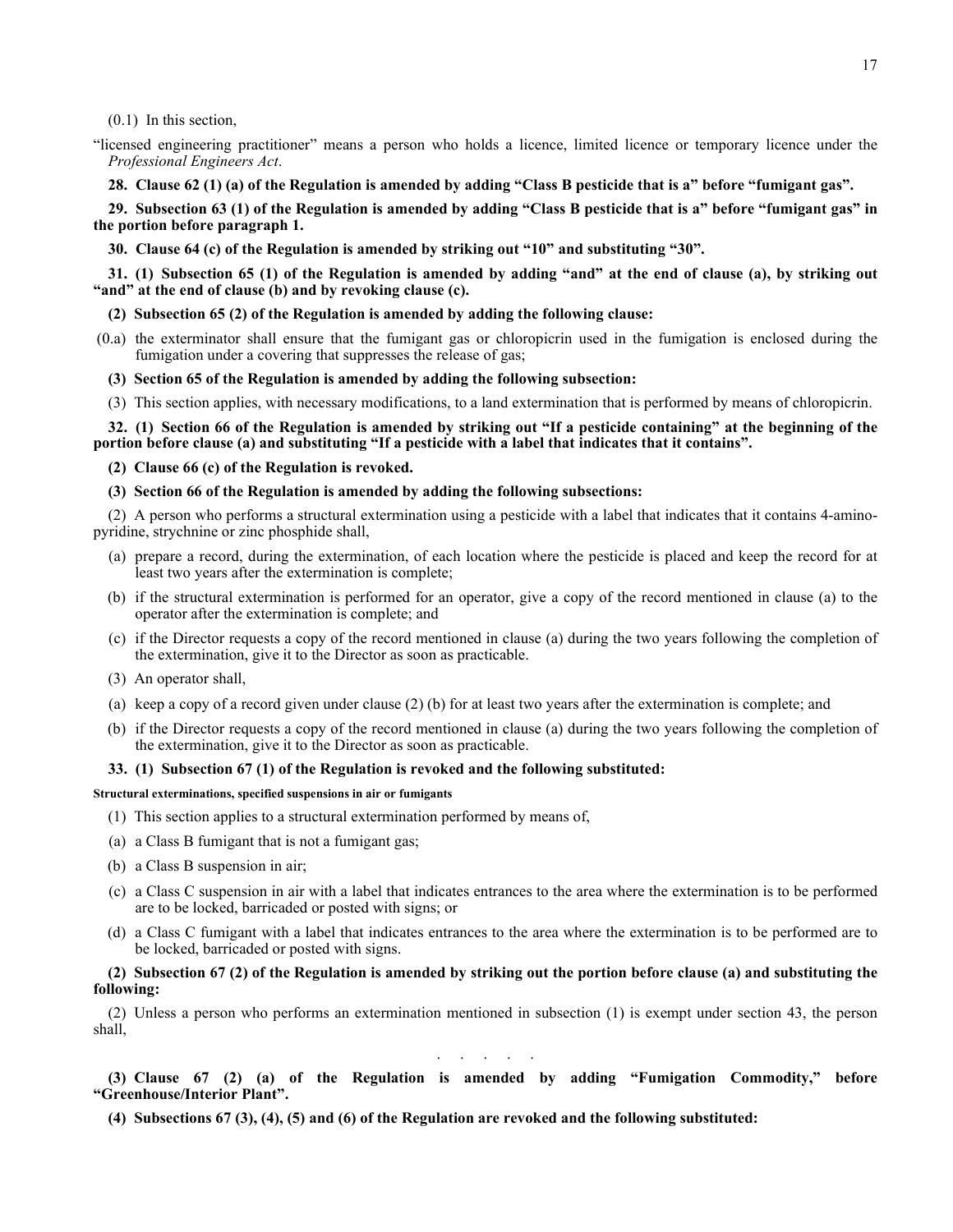(0.1) In this section,

"licensed engineering practitioner" means a person who holds a licence, limited licence or temporary licence under the *Professional Engineers Act*.

**28. Clause 62 (1) (a) of the Regulation is amended by adding "Class B pesticide that is a" before "fumigant gas".**

**29. Subsection 63 (1) of the Regulation is amended by adding "Class B pesticide that is a" before "fumigant gas" in the portion before paragraph 1.**

**30. Clause 64 (c) of the Regulation is amended by striking out "10" and substituting "30".**

**31. (1) Subsection 65 (1) of the Regulation is amended by adding "and" at the end of clause (a), by striking out "and" at the end of clause (b) and by revoking clause (c).**

**(2) Subsection 65 (2) of the Regulation is amended by adding the following clause:**

- (0.a) the exterminator shall ensure that the fumigant gas or chloropicrin used in the fumigation is enclosed during the fumigation under a covering that suppresses the release of gas;
	- **(3) Section 65 of the Regulation is amended by adding the following subsection:**

(3) This section applies, with necessary modifications, to a land extermination that is performed by means of chloropicrin.

**32. (1) Section 66 of the Regulation is amended by striking out "If a pesticide containing" at the beginning of the portion before clause (a) and substituting "If a pesticide with a label that indicates that it contains".**

**(2) Clause 66 (c) of the Regulation is revoked.**

**(3) Section 66 of the Regulation is amended by adding the following subsections:**

(2) A person who performs a structural extermination using a pesticide with a label that indicates that it contains 4-aminopyridine, strychnine or zinc phosphide shall,

- (a) prepare a record, during the extermination, of each location where the pesticide is placed and keep the record for at least two years after the extermination is complete;
- (b) if the structural extermination is performed for an operator, give a copy of the record mentioned in clause (a) to the operator after the extermination is complete; and
- (c) if the Director requests a copy of the record mentioned in clause (a) during the two years following the completion of the extermination, give it to the Director as soon as practicable.
- (3) An operator shall,
- (a) keep a copy of a record given under clause (2) (b) for at least two years after the extermination is complete; and
- (b) if the Director requests a copy of the record mentioned in clause (a) during the two years following the completion of the extermination, give it to the Director as soon as practicable.

## **33. (1) Subsection 67 (1) of the Regulation is revoked and the following substituted:**

**Structural exterminations, specified suspensions in air or fumigants**

- (1) This section applies to a structural extermination performed by means of,
- (a) a Class B fumigant that is not a fumigant gas;
- (b) a Class B suspension in air;
- (c) a Class C suspension in air with a label that indicates entrances to the area where the extermination is to be performed are to be locked, barricaded or posted with signs; or
- (d) a Class C fumigant with a label that indicates entrances to the area where the extermination is to be performed are to be locked, barricaded or posted with signs.

# **(2) Subsection 67 (2) of the Regulation is amended by striking out the portion before clause (a) and substituting the following:**

(2) Unless a person who performs an extermination mentioned in subsection (1) is exempt under section 43, the person shall,

. . . . . .

**(3) Clause 67 (2) (a) of the Regulation is amended by adding "Fumigation Commodity," before "Greenhouse/Interior Plant".**

**(4) Subsections 67 (3), (4), (5) and (6) of the Regulation are revoked and the following substituted:**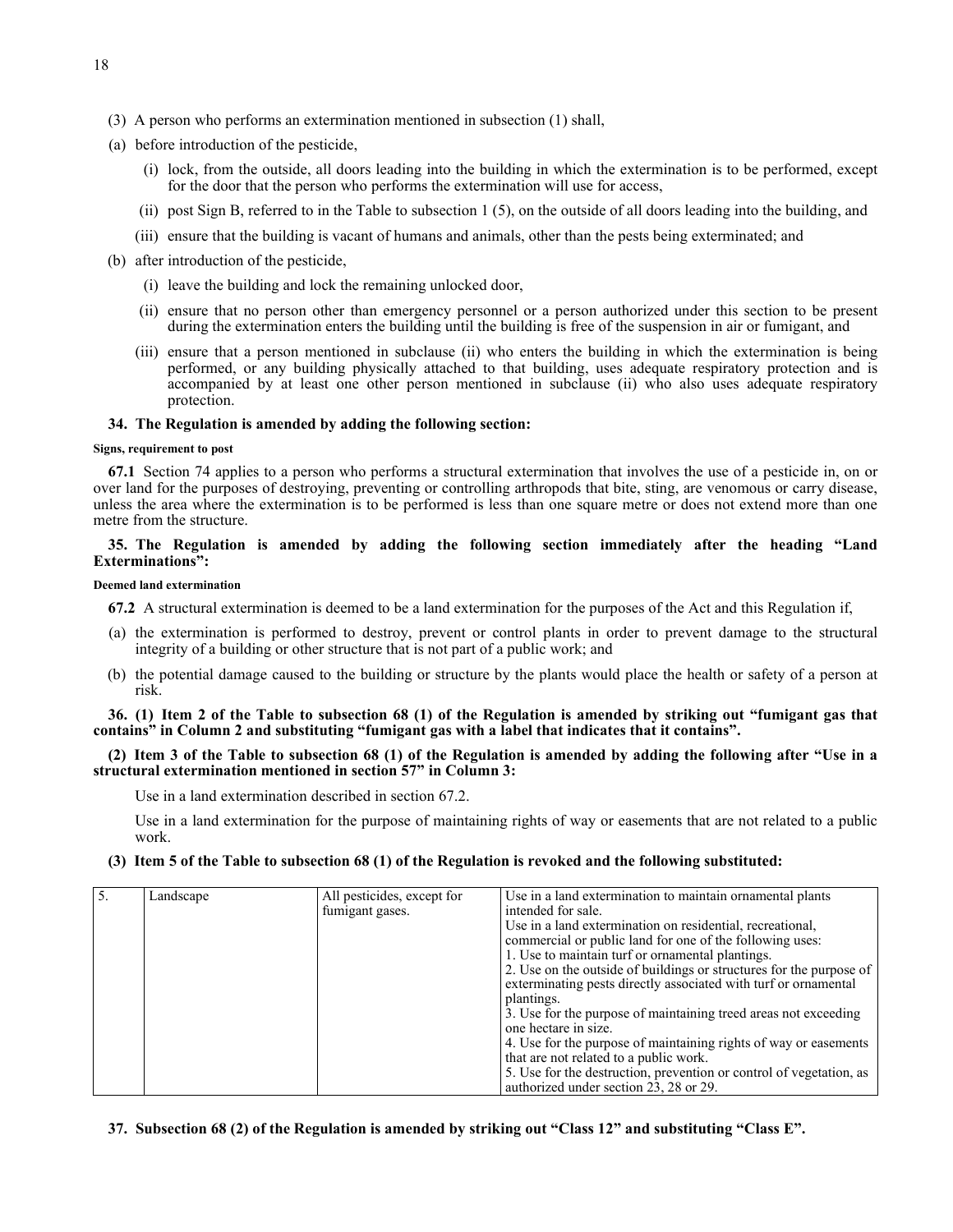- (3) A person who performs an extermination mentioned in subsection (1) shall,
- (a) before introduction of the pesticide,
	- (i) lock, from the outside, all doors leading into the building in which the extermination is to be performed, except for the door that the person who performs the extermination will use for access,
	- (ii) post Sign B, referred to in the Table to subsection 1 (5), on the outside of all doors leading into the building, and
	- (iii) ensure that the building is vacant of humans and animals, other than the pests being exterminated; and
- (b) after introduction of the pesticide,
	- (i) leave the building and lock the remaining unlocked door,
	- (ii) ensure that no person other than emergency personnel or a person authorized under this section to be present during the extermination enters the building until the building is free of the suspension in air or fumigant, and
	- (iii) ensure that a person mentioned in subclause (ii) who enters the building in which the extermination is being performed, or any building physically attached to that building, uses adequate respiratory protection and is accompanied by at least one other person mentioned in subclause (ii) who also uses adequate respiratory protection.

## **34. The Regulation is amended by adding the following section:**

### **Signs, requirement to post**

**67.1** Section 74 applies to a person who performs a structural extermination that involves the use of a pesticide in, on or over land for the purposes of destroying, preventing or controlling arthropods that bite, sting, are venomous or carry disease, unless the area where the extermination is to be performed is less than one square metre or does not extend more than one metre from the structure.

# **35. The Regulation is amended by adding the following section immediately after the heading "Land Exterminations":**

#### **Deemed land extermination**

**67.2** A structural extermination is deemed to be a land extermination for the purposes of the Act and this Regulation if,

- (a) the extermination is performed to destroy, prevent or control plants in order to prevent damage to the structural integrity of a building or other structure that is not part of a public work; and
- (b) the potential damage caused to the building or structure by the plants would place the health or safety of a person at risk.

**36. (1) Item 2 of the Table to subsection 68 (1) of the Regulation is amended by striking out "fumigant gas that contains" in Column 2 and substituting "fumigant gas with a label that indicates that it contains".**

**(2) Item 3 of the Table to subsection 68 (1) of the Regulation is amended by adding the following after "Use in a structural extermination mentioned in section 57" in Column 3:**

Use in a land extermination described in section 67.2.

Use in a land extermination for the purpose of maintaining rights of way or easements that are not related to a public work.

**(3) Item 5 of the Table to subsection 68 (1) of the Regulation is revoked and the following substituted:**

| Landscape | All pesticides, except for | Use in a land extermination to maintain ornamental plants           |
|-----------|----------------------------|---------------------------------------------------------------------|
|           | fumigant gases.            | intended for sale.                                                  |
|           |                            | Use in a land extermination on residential, recreational,           |
|           |                            | commercial or public land for one of the following uses:            |
|           |                            | 1. Use to maintain turf or ornamental plantings.                    |
|           |                            | 2. Use on the outside of buildings or structures for the purpose of |
|           |                            | exterminating pests directly associated with turf or ornamental     |
|           |                            | plantings.                                                          |
|           |                            | 3. Use for the purpose of maintaining treed areas not exceeding     |
|           |                            | one hectare in size.                                                |
|           |                            | 4. Use for the purpose of maintaining rights of way or easements    |
|           |                            | that are not related to a public work.                              |
|           |                            | 5. Use for the destruction, prevention or control of vegetation, as |
|           |                            | authorized under section 23, 28 or 29.                              |

# **37. Subsection 68 (2) of the Regulation is amended by striking out "Class 12" and substituting "Class E".**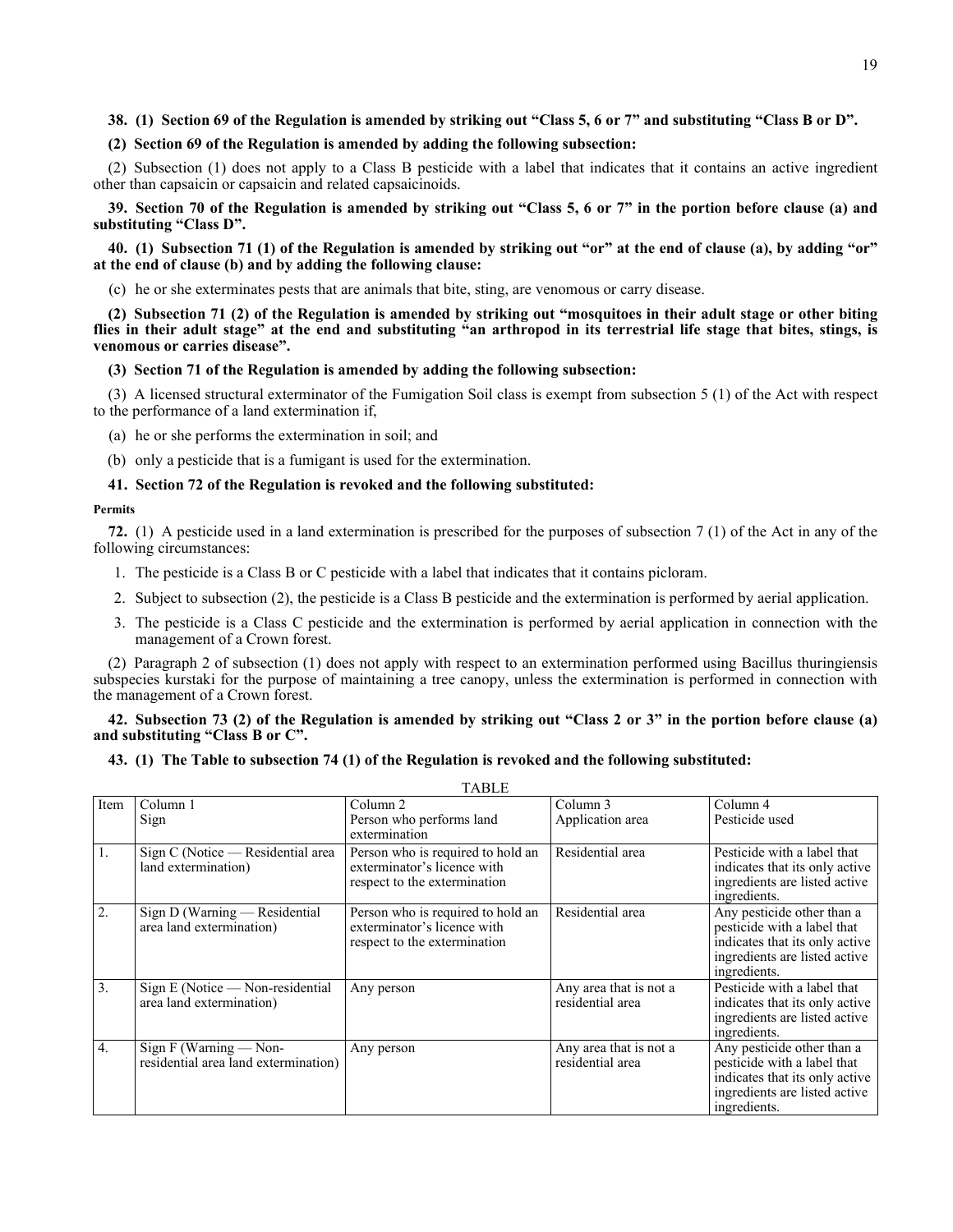# **38. (1) Section 69 of the Regulation is amended by striking out "Class 5, 6 or 7" and substituting "Class B or D".**

# **(2) Section 69 of the Regulation is amended by adding the following subsection:**

(2) Subsection (1) does not apply to a Class B pesticide with a label that indicates that it contains an active ingredient other than capsaicin or capsaicin and related capsaicinoids.

**39. Section 70 of the Regulation is amended by striking out "Class 5, 6 or 7" in the portion before clause (a) and substituting "Class D".**

**40. (1) Subsection 71 (1) of the Regulation is amended by striking out "or" at the end of clause (a), by adding "or" at the end of clause (b) and by adding the following clause:**

(c) he or she exterminates pests that are animals that bite, sting, are venomous or carry disease.

**(2) Subsection 71 (2) of the Regulation is amended by striking out "mosquitoes in their adult stage or other biting flies in their adult stage" at the end and substituting "an arthropod in its terrestrial life stage that bites, stings, is venomous or carries disease".**

### **(3) Section 71 of the Regulation is amended by adding the following subsection:**

(3) A licensed structural exterminator of the Fumigation Soil class is exempt from subsection 5 (1) of the Act with respect to the performance of a land extermination if,

- (a) he or she performs the extermination in soil; and
- (b) only a pesticide that is a fumigant is used for the extermination.

## **41. Section 72 of the Regulation is revoked and the following substituted:**

#### **Permits**

**72.** (1) A pesticide used in a land extermination is prescribed for the purposes of subsection 7 (1) of the Act in any of the following circumstances:

- 1. The pesticide is a Class B or C pesticide with a label that indicates that it contains picloram.
- 2. Subject to subsection (2), the pesticide is a Class B pesticide and the extermination is performed by aerial application.
- 3. The pesticide is a Class C pesticide and the extermination is performed by aerial application in connection with the management of a Crown forest.

(2) Paragraph 2 of subsection (1) does not apply with respect to an extermination performed using Bacillus thuringiensis subspecies kurstaki for the purpose of maintaining a tree canopy, unless the extermination is performed in connection with the management of a Crown forest.

## **42. Subsection 73 (2) of the Regulation is amended by striking out "Class 2 or 3" in the portion before clause (a) and substituting "Class B or C".**

 $TAT$ 

#### **43. (1) The Table to subsection 74 (1) of the Regulation is revoked and the following substituted:**

|                  |                                                                | TABLE                                                                                            |                                            |                                                                                                                                              |
|------------------|----------------------------------------------------------------|--------------------------------------------------------------------------------------------------|--------------------------------------------|----------------------------------------------------------------------------------------------------------------------------------------------|
| Item             | Column 1                                                       | Column <sub>2</sub>                                                                              | Column 3                                   | Column 4                                                                                                                                     |
|                  | Sign                                                           | Person who performs land                                                                         | Application area                           | Pesticide used                                                                                                                               |
|                  |                                                                | extermination                                                                                    |                                            |                                                                                                                                              |
| 1.               | Sign C (Notice — Residential area<br>land extermination)       | Person who is required to hold an<br>exterminator's licence with<br>respect to the extermination | Residential area                           | Pesticide with a label that<br>indicates that its only active<br>ingredients are listed active<br>ingredients.                               |
| 2.               | Sign D (Warning — Residential<br>area land extermination)      | Person who is required to hold an<br>exterminator's licence with<br>respect to the extermination | Residential area                           | Any pesticide other than a<br>pesticide with a label that<br>indicates that its only active<br>ingredients are listed active<br>ingredients. |
| 3.               | $Sign E (Notice - Non-residential$<br>area land extermination) | Any person                                                                                       | Any area that is not a<br>residential area | Pesticide with a label that<br>indicates that its only active<br>ingredients are listed active<br>ingredients.                               |
| $\overline{4}$ . | Sign F (Warning - Non-<br>residential area land extermination) | Any person                                                                                       | Any area that is not a<br>residential area | Any pesticide other than a<br>pesticide with a label that<br>indicates that its only active<br>ingredients are listed active<br>ingredients. |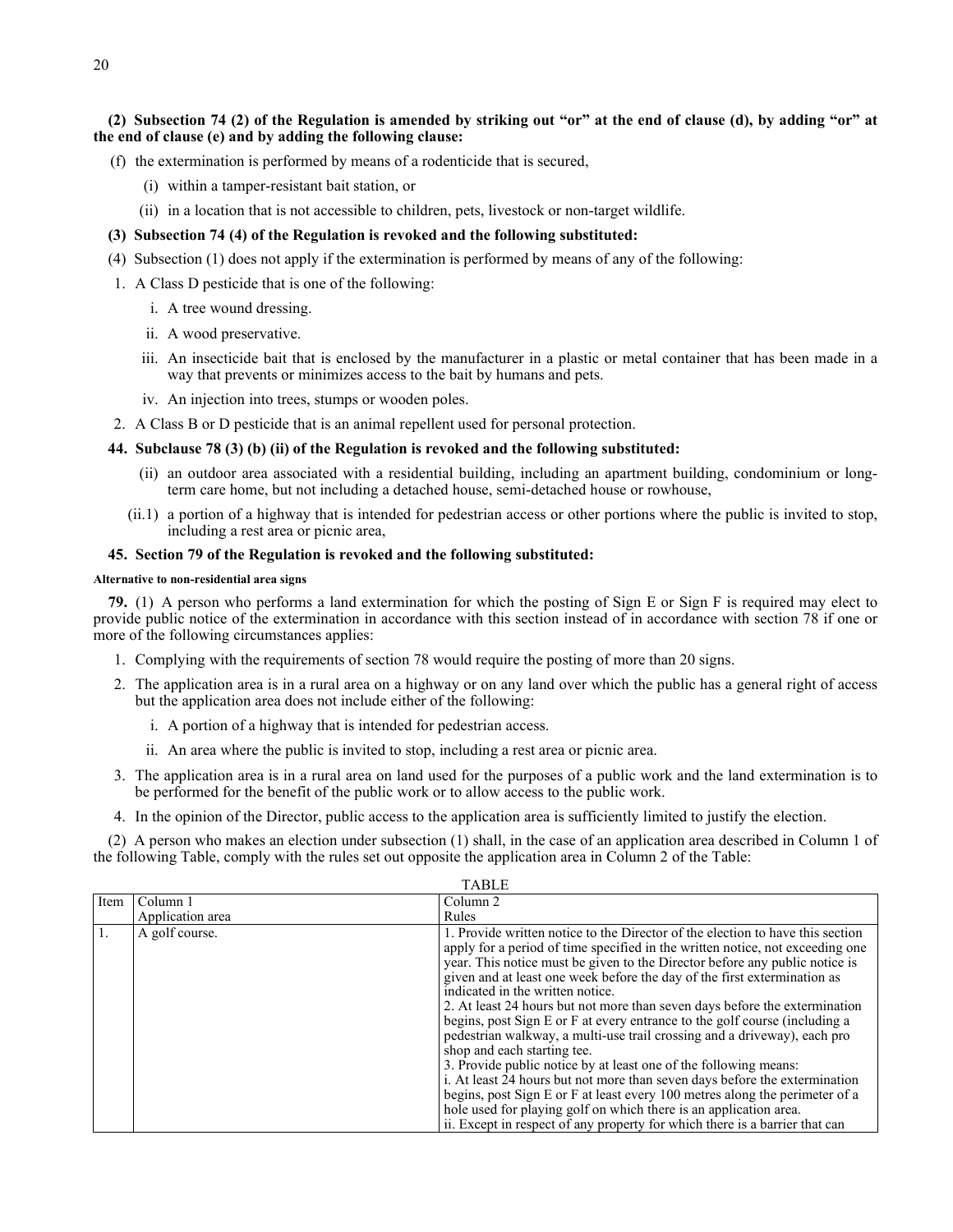**(2) Subsection 74 (2) of the Regulation is amended by striking out "or" at the end of clause (d), by adding "or" at the end of clause (e) and by adding the following clause:**

- (f) the extermination is performed by means of a rodenticide that is secured,
	- (i) within a tamper-resistant bait station, or
	- (ii) in a location that is not accessible to children, pets, livestock or non-target wildlife.

## **(3) Subsection 74 (4) of the Regulation is revoked and the following substituted:**

- (4) Subsection (1) does not apply if the extermination is performed by means of any of the following:
- 1. A Class D pesticide that is one of the following:
	- i. A tree wound dressing.
	- ii. A wood preservative.
	- iii. An insecticide bait that is enclosed by the manufacturer in a plastic or metal container that has been made in a way that prevents or minimizes access to the bait by humans and pets.
	- iv. An injection into trees, stumps or wooden poles.
- 2. A Class B or D pesticide that is an animal repellent used for personal protection.

## **44. Subclause 78 (3) (b) (ii) of the Regulation is revoked and the following substituted:**

- (ii) an outdoor area associated with a residential building, including an apartment building, condominium or longterm care home, but not including a detached house, semi-detached house or rowhouse,
- (ii.1) a portion of a highway that is intended for pedestrian access or other portions where the public is invited to stop, including a rest area or picnic area,

## **45. Section 79 of the Regulation is revoked and the following substituted:**

### **Alternative to non-residential area signs**

**79.** (1) A person who performs a land extermination for which the posting of Sign E or Sign F is required may elect to provide public notice of the extermination in accordance with this section instead of in accordance with section 78 if one or more of the following circumstances applies:

- 1. Complying with the requirements of section 78 would require the posting of more than 20 signs.
- 2. The application area is in a rural area on a highway or on any land over which the public has a general right of access but the application area does not include either of the following:
	- i. A portion of a highway that is intended for pedestrian access.
	- ii. An area where the public is invited to stop, including a rest area or picnic area.
- 3. The application area is in a rural area on land used for the purposes of a public work and the land extermination is to be performed for the benefit of the public work or to allow access to the public work.
- 4. In the opinion of the Director, public access to the application area is sufficiently limited to justify the election.

(2) A person who makes an election under subsection (1) shall, in the case of an application area described in Column 1 of the following Table, comply with the rules set out opposite the application area in Column 2 of the Table:

|      |                  | $1$ $\sim$ $1$ $\sim$ $1$ $\sim$                                                                                                                                                                                                                                                                                                                                                                                                                                                                                                                                                                                                                                                                                                                                                                                                                                                                                                                                                                                           |
|------|------------------|----------------------------------------------------------------------------------------------------------------------------------------------------------------------------------------------------------------------------------------------------------------------------------------------------------------------------------------------------------------------------------------------------------------------------------------------------------------------------------------------------------------------------------------------------------------------------------------------------------------------------------------------------------------------------------------------------------------------------------------------------------------------------------------------------------------------------------------------------------------------------------------------------------------------------------------------------------------------------------------------------------------------------|
| Item | Column 1         | Column 2                                                                                                                                                                                                                                                                                                                                                                                                                                                                                                                                                                                                                                                                                                                                                                                                                                                                                                                                                                                                                   |
|      | Application area | Rules                                                                                                                                                                                                                                                                                                                                                                                                                                                                                                                                                                                                                                                                                                                                                                                                                                                                                                                                                                                                                      |
|      | A golf course.   | 1. Provide written notice to the Director of the election to have this section<br>apply for a period of time specified in the written notice, not exceeding one<br>year. This notice must be given to the Director before any public notice is<br>given and at least one week before the day of the first extermination as<br>indicated in the written notice.<br>2. At least 24 hours but not more than seven days before the extermination<br>begins, post Sign E or F at every entrance to the golf course (including a<br>pedestrian walkway, a multi-use trail crossing and a driveway), each pro<br>shop and each starting tee.<br>3. Provide public notice by at least one of the following means:<br>i. At least 24 hours but not more than seven days before the extermination<br>begins, post Sign E or F at least every 100 metres along the perimeter of a<br>hole used for playing golf on which there is an application area.<br>ii. Except in respect of any property for which there is a barrier that can |

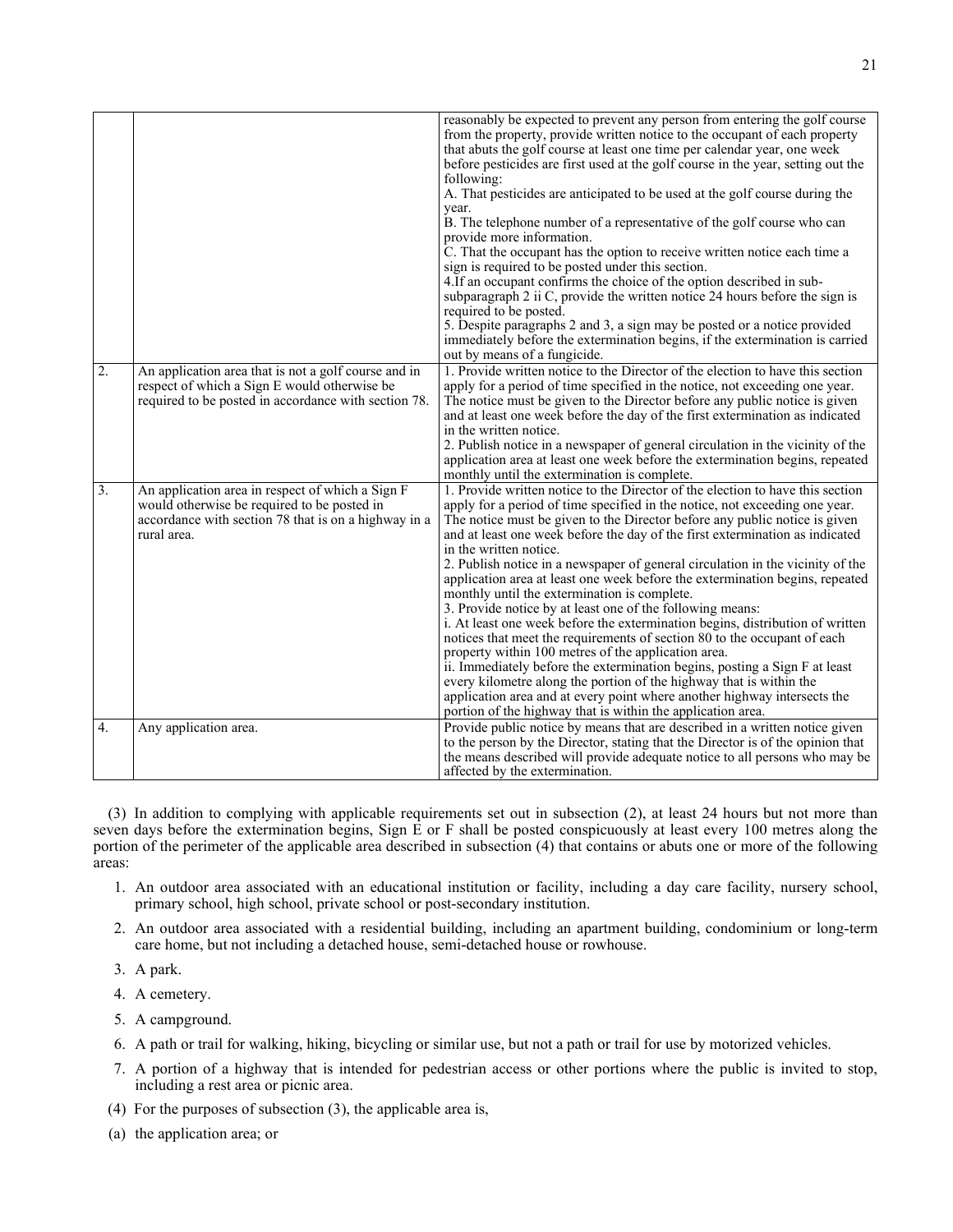|                  |                                                      | reasonably be expected to prevent any person from entering the golf course       |
|------------------|------------------------------------------------------|----------------------------------------------------------------------------------|
|                  |                                                      | from the property, provide written notice to the occupant of each property       |
|                  |                                                      | that abuts the golf course at least one time per calendar year, one week         |
|                  |                                                      | before pesticides are first used at the golf course in the year, setting out the |
|                  |                                                      | following:                                                                       |
|                  |                                                      | A. That pesticides are anticipated to be used at the golf course during the      |
|                  |                                                      | year.                                                                            |
|                  |                                                      | B. The telephone number of a representative of the golf course who can           |
|                  |                                                      | provide more information.                                                        |
|                  |                                                      | C. That the occupant has the option to receive written notice each time a        |
|                  |                                                      | sign is required to be posted under this section.                                |
|                  |                                                      | 4. If an occupant confirms the choice of the option described in sub-            |
|                  |                                                      | subparagraph 2 ii C, provide the written notice 24 hours before the sign is      |
|                  |                                                      | required to be posted.                                                           |
|                  |                                                      | 5. Despite paragraphs 2 and 3, a sign may be posted or a notice provided         |
|                  |                                                      | immediately before the extermination begins, if the extermination is carried     |
|                  |                                                      |                                                                                  |
|                  |                                                      | out by means of a fungicide.                                                     |
| $\overline{2}$ . | An application area that is not a golf course and in | 1. Provide written notice to the Director of the election to have this section   |
|                  | respect of which a Sign E would otherwise be         | apply for a period of time specified in the notice, not exceeding one year.      |
|                  | required to be posted in accordance with section 78. | The notice must be given to the Director before any public notice is given       |
|                  |                                                      | and at least one week before the day of the first extermination as indicated     |
|                  |                                                      | in the written notice.                                                           |
|                  |                                                      | 2. Publish notice in a newspaper of general circulation in the vicinity of the   |
|                  |                                                      | application area at least one week before the extermination begins, repeated     |
|                  |                                                      | monthly until the extermination is complete.                                     |
| 3.               | An application area in respect of which a Sign F     | 1. Provide written notice to the Director of the election to have this section   |
|                  | would otherwise be required to be posted in          | apply for a period of time specified in the notice, not exceeding one year.      |
|                  | accordance with section 78 that is on a highway in a | The notice must be given to the Director before any public notice is given       |
|                  | rural area.                                          | and at least one week before the day of the first extermination as indicated     |
|                  |                                                      | in the written notice.                                                           |
|                  |                                                      | 2. Publish notice in a newspaper of general circulation in the vicinity of the   |
|                  |                                                      | application area at least one week before the extermination begins, repeated     |
|                  |                                                      | monthly until the extermination is complete.                                     |
|                  |                                                      | 3. Provide notice by at least one of the following means:                        |
|                  |                                                      | i. At least one week before the extermination begins, distribution of written    |
|                  |                                                      | notices that meet the requirements of section 80 to the occupant of each         |
|                  |                                                      | property within 100 metres of the application area.                              |
|                  |                                                      | ii. Immediately before the extermination begins, posting a Sign F at least       |
|                  |                                                      | every kilometre along the portion of the highway that is within the              |
|                  |                                                      | application area and at every point where another highway intersects the         |
|                  |                                                      | portion of the highway that is within the application area.                      |
| $\overline{4}$ . | Any application area.                                | Provide public notice by means that are described in a written notice given      |
|                  |                                                      | to the person by the Director, stating that the Director is of the opinion that  |
|                  |                                                      | the means described will provide adequate notice to all persons who may be       |
|                  |                                                      | affected by the extermination.                                                   |
|                  |                                                      |                                                                                  |

(3) In addition to complying with applicable requirements set out in subsection (2), at least 24 hours but not more than seven days before the extermination begins, Sign E or F shall be posted conspicuously at least every 100 metres along the portion of the perimeter of the applicable area described in subsection (4) that contains or abuts one or more of the following areas:

- 1. An outdoor area associated with an educational institution or facility, including a day care facility, nursery school, primary school, high school, private school or post-secondary institution.
- 2. An outdoor area associated with a residential building, including an apartment building, condominium or long-term care home, but not including a detached house, semi-detached house or rowhouse.
- 3. A park.
- 4. A cemetery.
- 5. A campground.
- 6. A path or trail for walking, hiking, bicycling or similar use, but not a path or trail for use by motorized vehicles.
- 7. A portion of a highway that is intended for pedestrian access or other portions where the public is invited to stop, including a rest area or picnic area.
- (4) For the purposes of subsection (3), the applicable area is,
- (a) the application area; or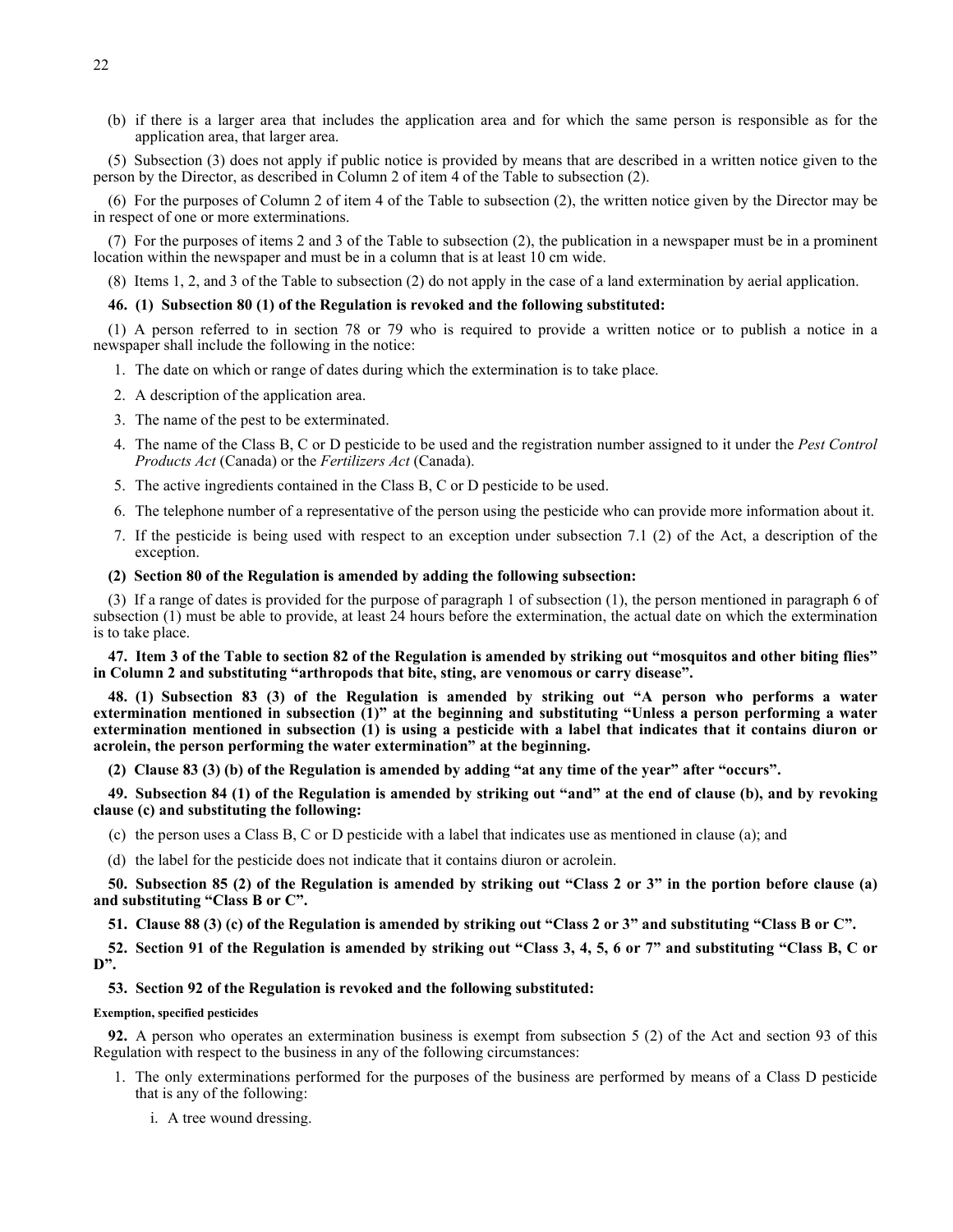(b) if there is a larger area that includes the application area and for which the same person is responsible as for the application area, that larger area.

(5) Subsection (3) does not apply if public notice is provided by means that are described in a written notice given to the person by the Director, as described in Column 2 of item 4 of the Table to subsection (2).

(6) For the purposes of Column 2 of item 4 of the Table to subsection (2), the written notice given by the Director may be in respect of one or more exterminations.

(7) For the purposes of items 2 and 3 of the Table to subsection (2), the publication in a newspaper must be in a prominent location within the newspaper and must be in a column that is at least 10 cm wide.

(8) Items 1, 2, and 3 of the Table to subsection (2) do not apply in the case of a land extermination by aerial application.

## **46. (1) Subsection 80 (1) of the Regulation is revoked and the following substituted:**

(1) A person referred to in section 78 or 79 who is required to provide a written notice or to publish a notice in a newspaper shall include the following in the notice:

- 1. The date on which or range of dates during which the extermination is to take place.
- 2. A description of the application area.
- 3. The name of the pest to be exterminated.
- 4. The name of the Class B, C or D pesticide to be used and the registration number assigned to it under the *Pest Control Products Act* (Canada) or the *Fertilizers Act* (Canada).
- 5. The active ingredients contained in the Class B, C or D pesticide to be used.
- 6. The telephone number of a representative of the person using the pesticide who can provide more information about it.
- 7. If the pesticide is being used with respect to an exception under subsection 7.1 (2) of the Act, a description of the exception.

### **(2) Section 80 of the Regulation is amended by adding the following subsection:**

(3) If a range of dates is provided for the purpose of paragraph 1 of subsection (1), the person mentioned in paragraph 6 of subsection (1) must be able to provide, at least 24 hours before the extermination, the actual date on which the extermination is to take place.

**47. Item 3 of the Table to section 82 of the Regulation is amended by striking out "mosquitos and other biting flies" in Column 2 and substituting "arthropods that bite, sting, are venomous or carry disease".**

**48. (1) Subsection 83 (3) of the Regulation is amended by striking out "A person who performs a water extermination mentioned in subsection (1)" at the beginning and substituting "Unless a person performing a water extermination mentioned in subsection (1) is using a pesticide with a label that indicates that it contains diuron or acrolein, the person performing the water extermination" at the beginning.**

**(2) Clause 83 (3) (b) of the Regulation is amended by adding "at any time of the year" after "occurs".**

**49. Subsection 84 (1) of the Regulation is amended by striking out "and" at the end of clause (b), and by revoking clause (c) and substituting the following:**

- (c) the person uses a Class B, C or D pesticide with a label that indicates use as mentioned in clause (a); and
- (d) the label for the pesticide does not indicate that it contains diuron or acrolein.

**50. Subsection 85 (2) of the Regulation is amended by striking out "Class 2 or 3" in the portion before clause (a) and substituting "Class B or C".**

**51. Clause 88 (3) (c) of the Regulation is amended by striking out "Class 2 or 3" and substituting "Class B or C".**

**52. Section 91 of the Regulation is amended by striking out "Class 3, 4, 5, 6 or 7" and substituting "Class B, C or D".**

#### **53. Section 92 of the Regulation is revoked and the following substituted:**

**Exemption, specified pesticides**

**92.** A person who operates an extermination business is exempt from subsection 5 (2) of the Act and section 93 of this Regulation with respect to the business in any of the following circumstances:

- 1. The only exterminations performed for the purposes of the business are performed by means of a Class D pesticide that is any of the following:
	- i. A tree wound dressing.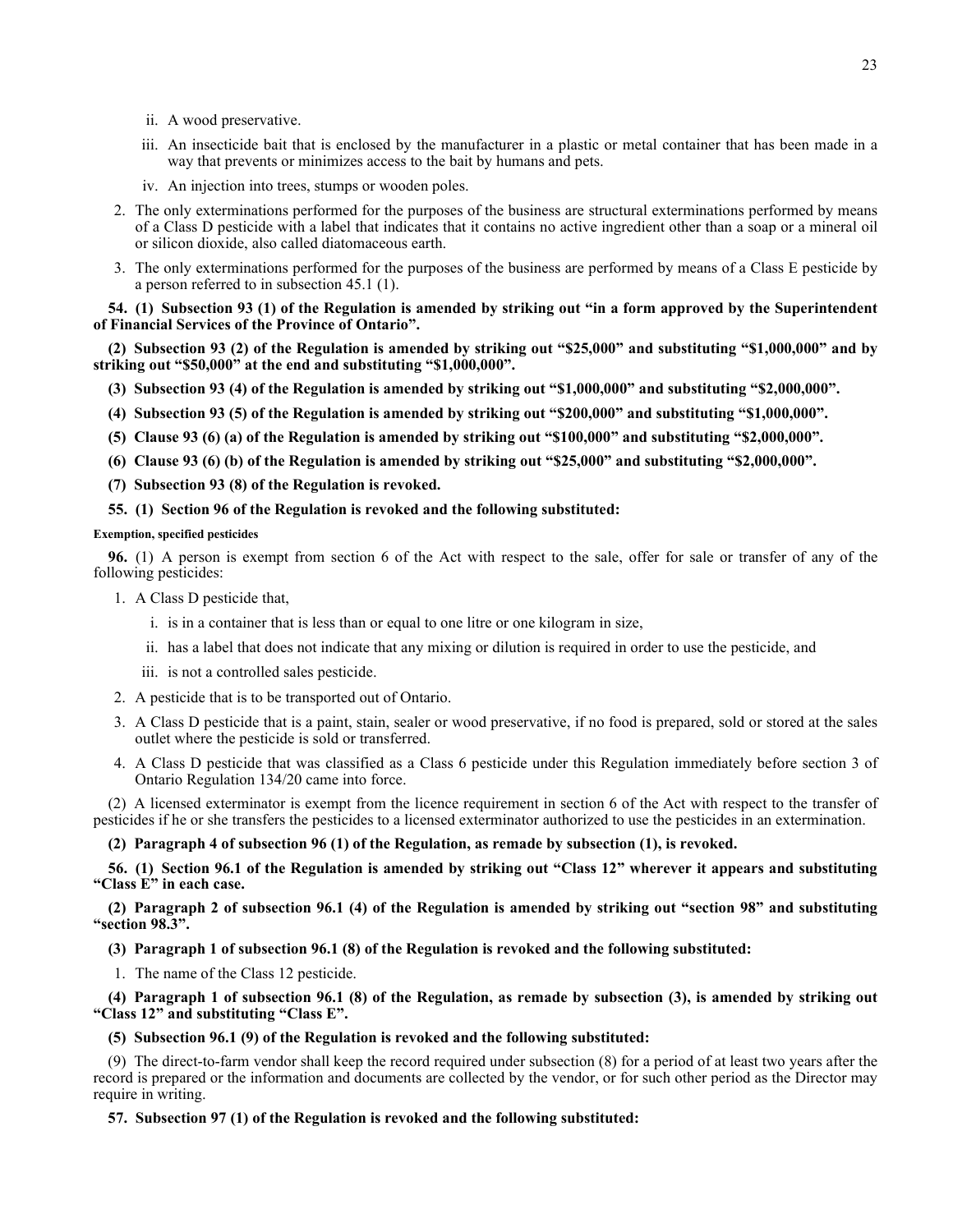- ii. A wood preservative.
- iii. An insecticide bait that is enclosed by the manufacturer in a plastic or metal container that has been made in a way that prevents or minimizes access to the bait by humans and pets.
- iv. An injection into trees, stumps or wooden poles.
- 2. The only exterminations performed for the purposes of the business are structural exterminations performed by means of a Class D pesticide with a label that indicates that it contains no active ingredient other than a soap or a mineral oil or silicon dioxide, also called diatomaceous earth.
- 3. The only exterminations performed for the purposes of the business are performed by means of a Class E pesticide by a person referred to in subsection 45.1 (1).

**54. (1) Subsection 93 (1) of the Regulation is amended by striking out "in a form approved by the Superintendent of Financial Services of the Province of Ontario".**

**(2) Subsection 93 (2) of the Regulation is amended by striking out "\$25,000" and substituting "\$1,000,000" and by striking out "\$50,000" at the end and substituting "\$1,000,000".**

- **(3) Subsection 93 (4) of the Regulation is amended by striking out "\$1,000,000" and substituting "\$2,000,000".**
- **(4) Subsection 93 (5) of the Regulation is amended by striking out "\$200,000" and substituting "\$1,000,000".**
- **(5) Clause 93 (6) (a) of the Regulation is amended by striking out "\$100,000" and substituting "\$2,000,000".**
- **(6) Clause 93 (6) (b) of the Regulation is amended by striking out "\$25,000" and substituting "\$2,000,000".**
- **(7) Subsection 93 (8) of the Regulation is revoked.**

**55. (1) Section 96 of the Regulation is revoked and the following substituted:**

### **Exemption, specified pesticides**

**96.** (1) A person is exempt from section 6 of the Act with respect to the sale, offer for sale or transfer of any of the following pesticides:

- 1. A Class D pesticide that,
	- i. is in a container that is less than or equal to one litre or one kilogram in size,
	- ii. has a label that does not indicate that any mixing or dilution is required in order to use the pesticide, and
	- iii. is not a controlled sales pesticide.
- 2. A pesticide that is to be transported out of Ontario.
- 3. A Class D pesticide that is a paint, stain, sealer or wood preservative, if no food is prepared, sold or stored at the sales outlet where the pesticide is sold or transferred.
- 4. A Class D pesticide that was classified as a Class 6 pesticide under this Regulation immediately before section 3 of Ontario Regulation 134/20 came into force.

(2) A licensed exterminator is exempt from the licence requirement in section 6 of the Act with respect to the transfer of pesticides if he or she transfers the pesticides to a licensed exterminator authorized to use the pesticides in an extermination.

**(2) Paragraph 4 of subsection 96 (1) of the Regulation, as remade by subsection (1), is revoked.**

**56. (1) Section 96.1 of the Regulation is amended by striking out "Class 12" wherever it appears and substituting "Class E" in each case.**

**(2) Paragraph 2 of subsection 96.1 (4) of the Regulation is amended by striking out "section 98" and substituting "section 98.3".**

**(3) Paragraph 1 of subsection 96.1 (8) of the Regulation is revoked and the following substituted:**

1. The name of the Class 12 pesticide.

**(4) Paragraph 1 of subsection 96.1 (8) of the Regulation, as remade by subsection (3), is amended by striking out "Class 12" and substituting "Class E".**

#### **(5) Subsection 96.1 (9) of the Regulation is revoked and the following substituted:**

(9) The direct-to-farm vendor shall keep the record required under subsection (8) for a period of at least two years after the record is prepared or the information and documents are collected by the vendor, or for such other period as the Director may require in writing.

## **57. Subsection 97 (1) of the Regulation is revoked and the following substituted:**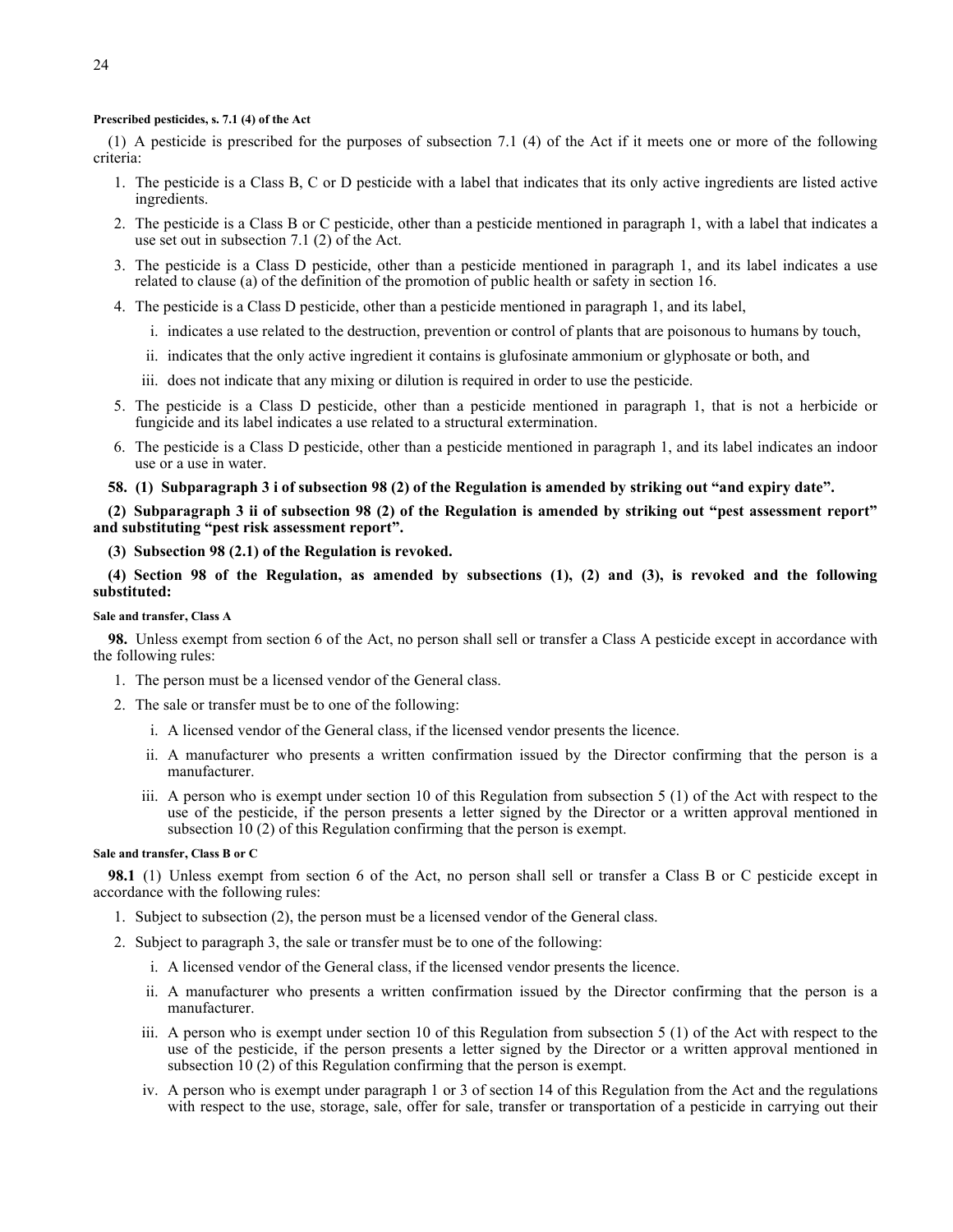# **Prescribed pesticides, s. 7.1 (4) of the Act**

(1) A pesticide is prescribed for the purposes of subsection 7.1 (4) of the Act if it meets one or more of the following criteria:

- 1. The pesticide is a Class B, C or D pesticide with a label that indicates that its only active ingredients are listed active ingredients.
- 2. The pesticide is a Class B or C pesticide, other than a pesticide mentioned in paragraph 1, with a label that indicates a use set out in subsection 7.1 (2) of the Act.
- 3. The pesticide is a Class D pesticide, other than a pesticide mentioned in paragraph 1, and its label indicates a use related to clause (a) of the definition of the promotion of public health or safety in section 16.
- 4. The pesticide is a Class D pesticide, other than a pesticide mentioned in paragraph 1, and its label,
	- i. indicates a use related to the destruction, prevention or control of plants that are poisonous to humans by touch,
	- ii. indicates that the only active ingredient it contains is glufosinate ammonium or glyphosate or both, and
	- iii. does not indicate that any mixing or dilution is required in order to use the pesticide.
- 5. The pesticide is a Class D pesticide, other than a pesticide mentioned in paragraph 1, that is not a herbicide or fungicide and its label indicates a use related to a structural extermination.
- 6. The pesticide is a Class D pesticide, other than a pesticide mentioned in paragraph 1, and its label indicates an indoor use or a use in water.
- **58. (1) Subparagraph 3 i of subsection 98 (2) of the Regulation is amended by striking out "and expiry date".**

**(2) Subparagraph 3 ii of subsection 98 (2) of the Regulation is amended by striking out "pest assessment report" and substituting "pest risk assessment report".**

**(3) Subsection 98 (2.1) of the Regulation is revoked.**

**(4) Section 98 of the Regulation, as amended by subsections (1), (2) and (3), is revoked and the following substituted:**

### **Sale and transfer, Class A**

**98.** Unless exempt from section 6 of the Act, no person shall sell or transfer a Class A pesticide except in accordance with the following rules:

- 1. The person must be a licensed vendor of the General class.
- 2. The sale or transfer must be to one of the following:
	- i. A licensed vendor of the General class, if the licensed vendor presents the licence.
	- ii. A manufacturer who presents a written confirmation issued by the Director confirming that the person is a manufacturer.
	- iii. A person who is exempt under section 10 of this Regulation from subsection 5 (1) of the Act with respect to the use of the pesticide, if the person presents a letter signed by the Director or a written approval mentioned in subsection 10 (2) of this Regulation confirming that the person is exempt.

#### **Sale and transfer, Class B or C**

**98.1** (1) Unless exempt from section 6 of the Act, no person shall sell or transfer a Class B or C pesticide except in accordance with the following rules:

- 1. Subject to subsection (2), the person must be a licensed vendor of the General class.
- 2. Subject to paragraph 3, the sale or transfer must be to one of the following:
	- i. A licensed vendor of the General class, if the licensed vendor presents the licence.
	- ii. A manufacturer who presents a written confirmation issued by the Director confirming that the person is a manufacturer.
	- iii. A person who is exempt under section 10 of this Regulation from subsection 5 (1) of the Act with respect to the use of the pesticide, if the person presents a letter signed by the Director or a written approval mentioned in subsection 10 (2) of this Regulation confirming that the person is exempt.
	- iv. A person who is exempt under paragraph 1 or 3 of section 14 of this Regulation from the Act and the regulations with respect to the use, storage, sale, offer for sale, transfer or transportation of a pesticide in carrying out their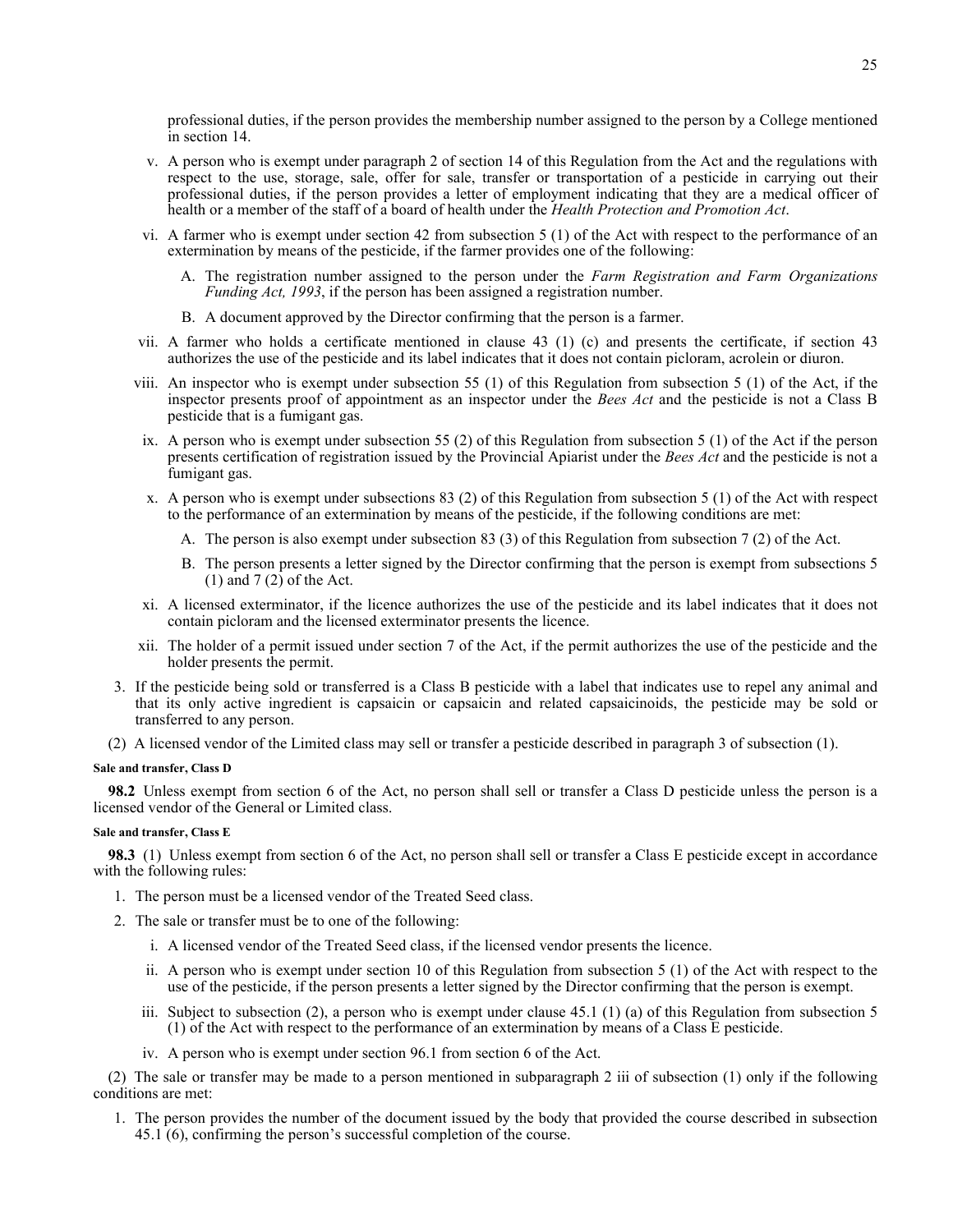professional duties, if the person provides the membership number assigned to the person by a College mentioned in section 14.

- v. A person who is exempt under paragraph 2 of section 14 of this Regulation from the Act and the regulations with respect to the use, storage, sale, offer for sale, transfer or transportation of a pesticide in carrying out their professional duties, if the person provides a letter of employment indicating that they are a medical officer of health or a member of the staff of a board of health under the *Health Protection and Promotion Act*.
- vi. A farmer who is exempt under section 42 from subsection 5 (1) of the Act with respect to the performance of an extermination by means of the pesticide, if the farmer provides one of the following:
	- A. The registration number assigned to the person under the *Farm Registration and Farm Organizations Funding Act, 1993*, if the person has been assigned a registration number.
	- B. A document approved by the Director confirming that the person is a farmer.
- vii. A farmer who holds a certificate mentioned in clause 43 (1) (c) and presents the certificate, if section 43 authorizes the use of the pesticide and its label indicates that it does not contain picloram, acrolein or diuron.
- viii. An inspector who is exempt under subsection 55 (1) of this Regulation from subsection 5 (1) of the Act, if the inspector presents proof of appointment as an inspector under the *Bees Act* and the pesticide is not a Class B pesticide that is a fumigant gas.
- ix. A person who is exempt under subsection 55 (2) of this Regulation from subsection 5 (1) of the Act if the person presents certification of registration issued by the Provincial Apiarist under the *Bees Act* and the pesticide is not a fumigant gas.
- x. A person who is exempt under subsections 83 (2) of this Regulation from subsection 5 (1) of the Act with respect to the performance of an extermination by means of the pesticide, if the following conditions are met:
	- A. The person is also exempt under subsection 83 (3) of this Regulation from subsection 7 (2) of the Act.
	- B. The person presents a letter signed by the Director confirming that the person is exempt from subsections 5 (1) and 7 (2) of the Act.
- xi. A licensed exterminator, if the licence authorizes the use of the pesticide and its label indicates that it does not contain picloram and the licensed exterminator presents the licence.
- xii. The holder of a permit issued under section 7 of the Act, if the permit authorizes the use of the pesticide and the holder presents the permit.
- 3. If the pesticide being sold or transferred is a Class B pesticide with a label that indicates use to repel any animal and that its only active ingredient is capsaicin or capsaicin and related capsaicinoids, the pesticide may be sold or transferred to any person.
- (2) A licensed vendor of the Limited class may sell or transfer a pesticide described in paragraph 3 of subsection (1).

### **Sale and transfer, Class D**

**98.2** Unless exempt from section 6 of the Act, no person shall sell or transfer a Class D pesticide unless the person is a licensed vendor of the General or Limited class.

## **Sale and transfer, Class E**

**98.3** (1) Unless exempt from section 6 of the Act, no person shall sell or transfer a Class E pesticide except in accordance with the following rules:

- 1. The person must be a licensed vendor of the Treated Seed class.
- 2. The sale or transfer must be to one of the following:
	- i. A licensed vendor of the Treated Seed class, if the licensed vendor presents the licence.
	- ii. A person who is exempt under section 10 of this Regulation from subsection 5 (1) of the Act with respect to the use of the pesticide, if the person presents a letter signed by the Director confirming that the person is exempt.
	- iii. Subject to subsection (2), a person who is exempt under clause 45.1 (1) (a) of this Regulation from subsection 5 (1) of the Act with respect to the performance of an extermination by means of a Class E pesticide.
	- iv. A person who is exempt under section 96.1 from section 6 of the Act.

(2) The sale or transfer may be made to a person mentioned in subparagraph 2 iii of subsection (1) only if the following conditions are met:

1. The person provides the number of the document issued by the body that provided the course described in subsection 45.1 (6), confirming the person's successful completion of the course.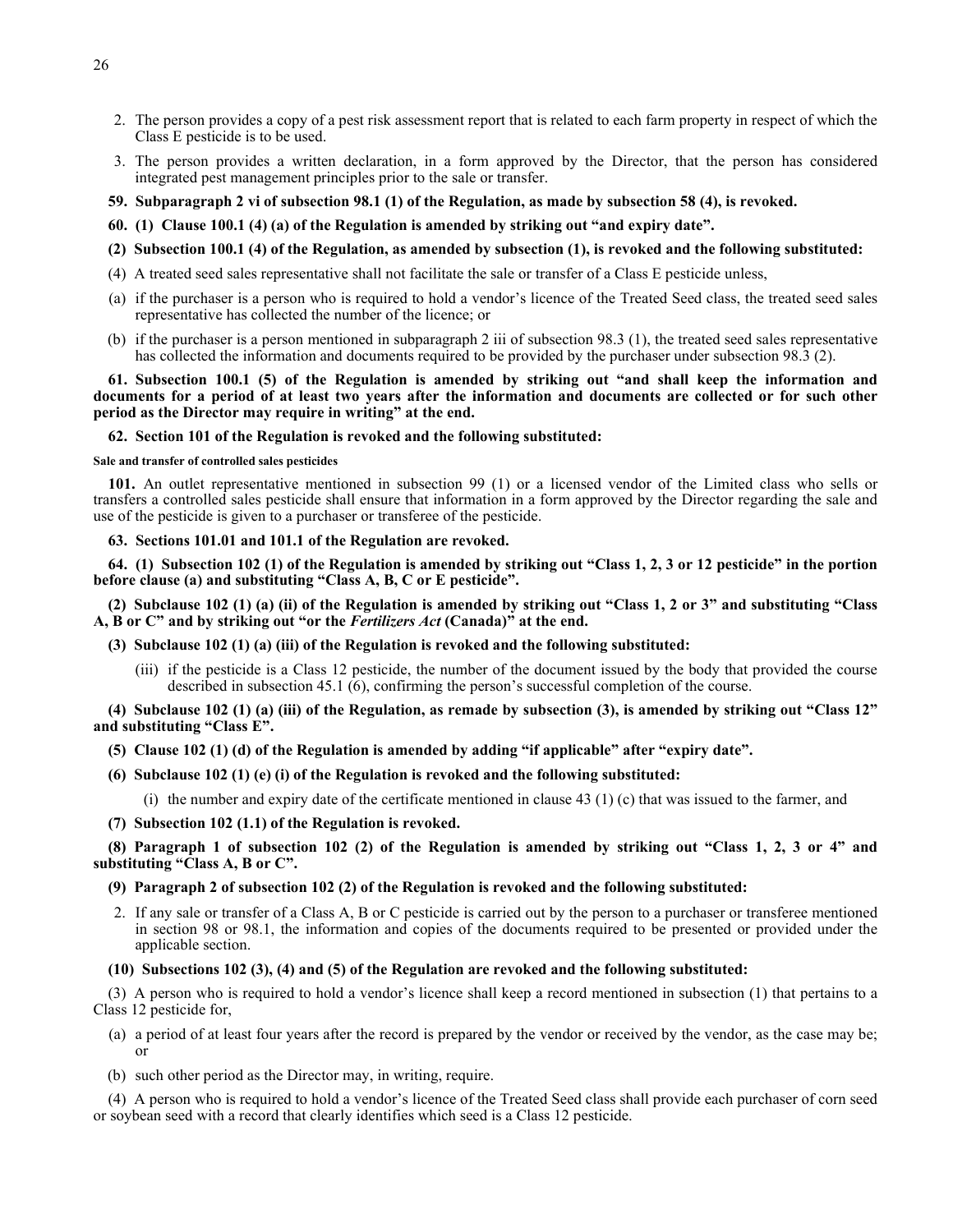- 2. The person provides a copy of a pest risk assessment report that is related to each farm property in respect of which the Class E pesticide is to be used.
- 3. The person provides a written declaration, in a form approved by the Director, that the person has considered integrated pest management principles prior to the sale or transfer.
- **59. Subparagraph 2 vi of subsection 98.1 (1) of the Regulation, as made by subsection 58 (4), is revoked.**
- **60. (1) Clause 100.1 (4) (a) of the Regulation is amended by striking out "and expiry date".**
- **(2) Subsection 100.1 (4) of the Regulation, as amended by subsection (1), is revoked and the following substituted:**
- (4) A treated seed sales representative shall not facilitate the sale or transfer of a Class E pesticide unless,
- (a) if the purchaser is a person who is required to hold a vendor's licence of the Treated Seed class, the treated seed sales representative has collected the number of the licence; or
- (b) if the purchaser is a person mentioned in subparagraph 2 iii of subsection 98.3 (1), the treated seed sales representative has collected the information and documents required to be provided by the purchaser under subsection 98.3 (2).

## **61. Subsection 100.1 (5) of the Regulation is amended by striking out "and shall keep the information and documents for a period of at least two years after the information and documents are collected or for such other period as the Director may require in writing" at the end.**

## **62. Section 101 of the Regulation is revoked and the following substituted:**

#### **Sale and transfer of controlled sales pesticides**

**101.** An outlet representative mentioned in subsection 99 (1) or a licensed vendor of the Limited class who sells or transfers a controlled sales pesticide shall ensure that information in a form approved by the Director regarding the sale and use of the pesticide is given to a purchaser or transferee of the pesticide.

**63. Sections 101.01 and 101.1 of the Regulation are revoked.**

**64. (1) Subsection 102 (1) of the Regulation is amended by striking out "Class 1, 2, 3 or 12 pesticide" in the portion before clause (a) and substituting "Class A, B, C or E pesticide".**

**(2) Subclause 102 (1) (a) (ii) of the Regulation is amended by striking out "Class 1, 2 or 3" and substituting "Class A, B or C" and by striking out "or the** *Fertilizers Act* **(Canada)" at the end.**

- **(3) Subclause 102 (1) (a) (iii) of the Regulation is revoked and the following substituted:**
	- (iii) if the pesticide is a Class 12 pesticide, the number of the document issued by the body that provided the course described in subsection 45.1 (6), confirming the person's successful completion of the course.

## **(4) Subclause 102 (1) (a) (iii) of the Regulation, as remade by subsection (3), is amended by striking out "Class 12" and substituting "Class E".**

# **(5) Clause 102 (1) (d) of the Regulation is amended by adding "if applicable" after "expiry date".**

- **(6) Subclause 102 (1) (e) (i) of the Regulation is revoked and the following substituted:**
	- (i) the number and expiry date of the certificate mentioned in clause  $(43)(1)(c)$  that was issued to the farmer, and
- **(7) Subsection 102 (1.1) of the Regulation is revoked.**

**(8) Paragraph 1 of subsection 102 (2) of the Regulation is amended by striking out "Class 1, 2, 3 or 4" and substituting "Class A, B or C".**

## **(9) Paragraph 2 of subsection 102 (2) of the Regulation is revoked and the following substituted:**

2. If any sale or transfer of a Class A, B or C pesticide is carried out by the person to a purchaser or transferee mentioned in section 98 or 98.1, the information and copies of the documents required to be presented or provided under the applicable section.

## **(10) Subsections 102 (3), (4) and (5) of the Regulation are revoked and the following substituted:**

(3) A person who is required to hold a vendor's licence shall keep a record mentioned in subsection (1) that pertains to a Class 12 pesticide for,

- (a) a period of at least four years after the record is prepared by the vendor or received by the vendor, as the case may be; or
- (b) such other period as the Director may, in writing, require.

(4) A person who is required to hold a vendor's licence of the Treated Seed class shall provide each purchaser of corn seed or soybean seed with a record that clearly identifies which seed is a Class 12 pesticide.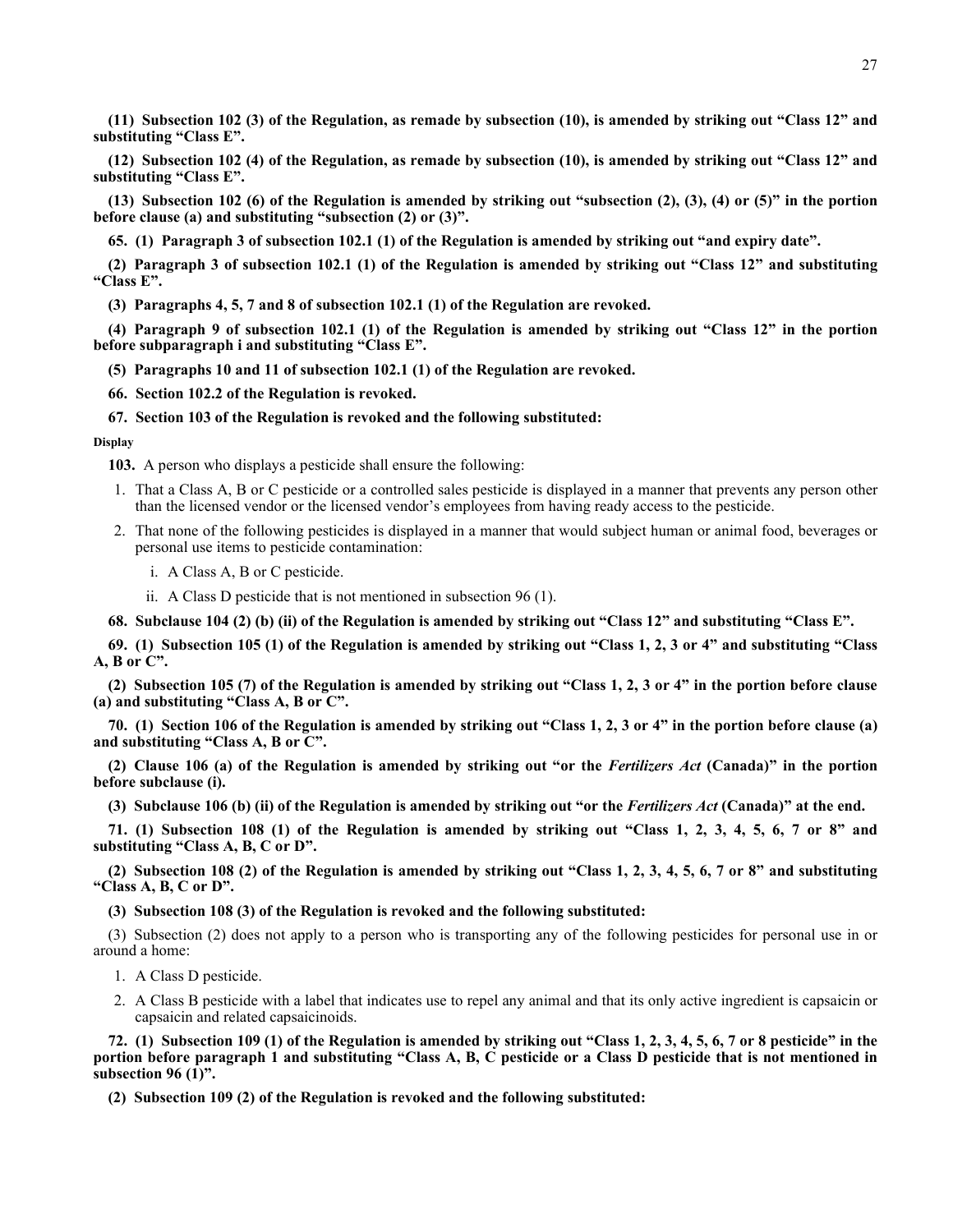**(11) Subsection 102 (3) of the Regulation, as remade by subsection (10), is amended by striking out "Class 12" and substituting "Class E".**

**(12) Subsection 102 (4) of the Regulation, as remade by subsection (10), is amended by striking out "Class 12" and substituting "Class E".**

**(13) Subsection 102 (6) of the Regulation is amended by striking out "subsection (2), (3), (4) or (5)" in the portion before clause (a) and substituting "subsection (2) or (3)".**

**65. (1) Paragraph 3 of subsection 102.1 (1) of the Regulation is amended by striking out "and expiry date".**

**(2) Paragraph 3 of subsection 102.1 (1) of the Regulation is amended by striking out "Class 12" and substituting "Class E".**

**(3) Paragraphs 4, 5, 7 and 8 of subsection 102.1 (1) of the Regulation are revoked.**

**(4) Paragraph 9 of subsection 102.1 (1) of the Regulation is amended by striking out "Class 12" in the portion before subparagraph i and substituting "Class E".**

**(5) Paragraphs 10 and 11 of subsection 102.1 (1) of the Regulation are revoked.**

**66. Section 102.2 of the Regulation is revoked.**

### **67. Section 103 of the Regulation is revoked and the following substituted:**

**Display**

**103.** A person who displays a pesticide shall ensure the following:

- 1. That a Class A, B or C pesticide or a controlled sales pesticide is displayed in a manner that prevents any person other than the licensed vendor or the licensed vendor's employees from having ready access to the pesticide.
- 2. That none of the following pesticides is displayed in a manner that would subject human or animal food, beverages or personal use items to pesticide contamination:
	- i. A Class A, B or C pesticide.
	- ii. A Class D pesticide that is not mentioned in subsection 96 (1).

**68. Subclause 104 (2) (b) (ii) of the Regulation is amended by striking out "Class 12" and substituting "Class E".**

**69. (1) Subsection 105 (1) of the Regulation is amended by striking out "Class 1, 2, 3 or 4" and substituting "Class A, B or C".**

**(2) Subsection 105 (7) of the Regulation is amended by striking out "Class 1, 2, 3 or 4" in the portion before clause (a) and substituting "Class A, B or C".**

**70. (1) Section 106 of the Regulation is amended by striking out "Class 1, 2, 3 or 4" in the portion before clause (a) and substituting "Class A, B or C".**

**(2) Clause 106 (a) of the Regulation is amended by striking out "or the** *Fertilizers Act* **(Canada)" in the portion before subclause (i).**

**(3) Subclause 106 (b) (ii) of the Regulation is amended by striking out "or the** *Fertilizers Act* **(Canada)" at the end.**

**71. (1) Subsection 108 (1) of the Regulation is amended by striking out "Class 1, 2, 3, 4, 5, 6, 7 or 8" and substituting "Class A, B, C or D".**

**(2) Subsection 108 (2) of the Regulation is amended by striking out "Class 1, 2, 3, 4, 5, 6, 7 or 8" and substituting "Class A, B, C or D".**

**(3) Subsection 108 (3) of the Regulation is revoked and the following substituted:**

(3) Subsection (2) does not apply to a person who is transporting any of the following pesticides for personal use in or around a home:

- 1. A Class D pesticide.
- 2. A Class B pesticide with a label that indicates use to repel any animal and that its only active ingredient is capsaicin or capsaicin and related capsaicinoids.

**72. (1) Subsection 109 (1) of the Regulation is amended by striking out "Class 1, 2, 3, 4, 5, 6, 7 or 8 pesticide" in the portion before paragraph 1 and substituting "Class A, B, C pesticide or a Class D pesticide that is not mentioned in subsection 96 (1)".**

**(2) Subsection 109 (2) of the Regulation is revoked and the following substituted:**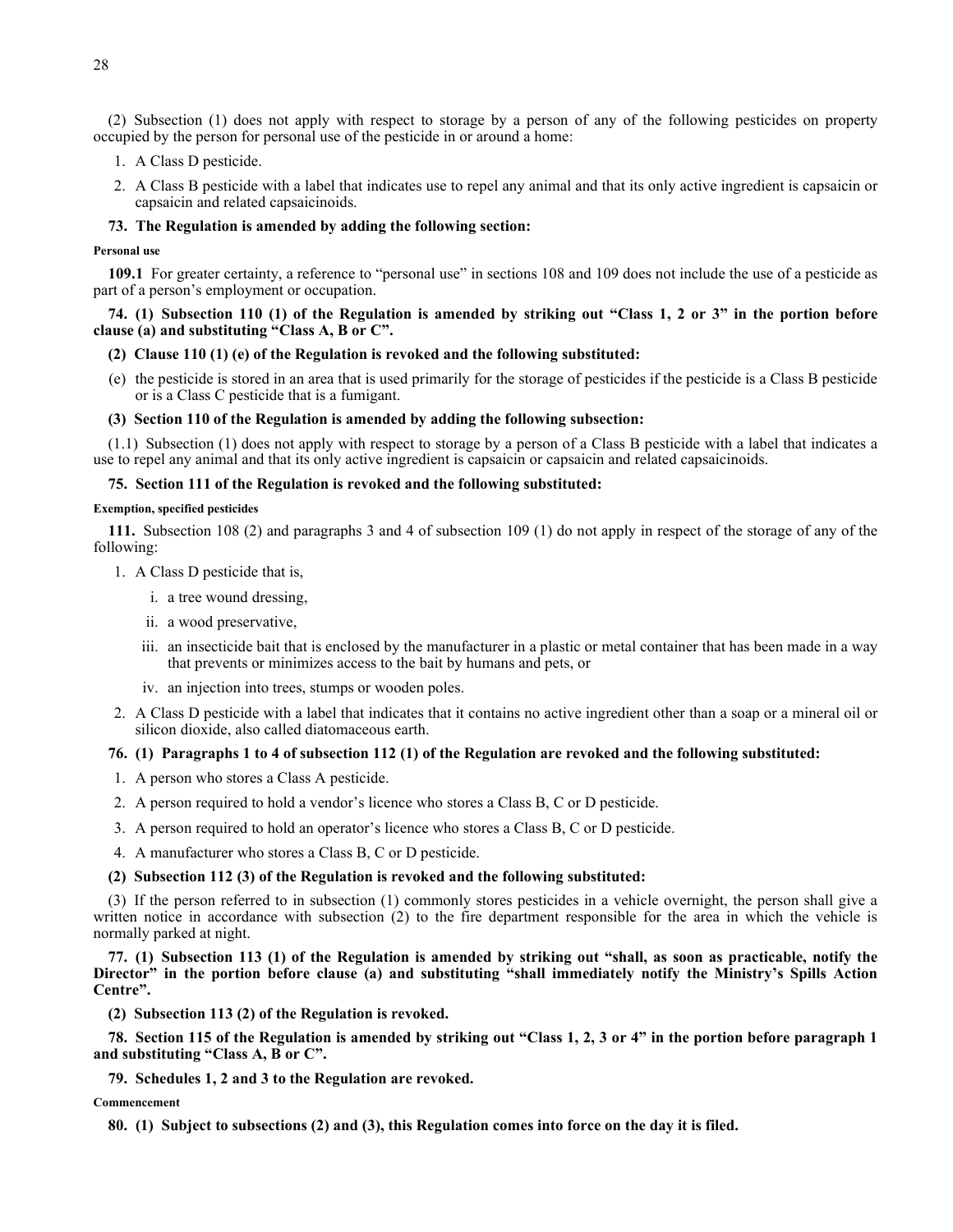(2) Subsection (1) does not apply with respect to storage by a person of any of the following pesticides on property occupied by the person for personal use of the pesticide in or around a home:

- 1. A Class D pesticide.
- 2. A Class B pesticide with a label that indicates use to repel any animal and that its only active ingredient is capsaicin or capsaicin and related capsaicinoids.

## **73. The Regulation is amended by adding the following section:**

### **Personal use**

**109.1** For greater certainty, a reference to "personal use" in sections 108 and 109 does not include the use of a pesticide as part of a person's employment or occupation.

# **74. (1) Subsection 110 (1) of the Regulation is amended by striking out "Class 1, 2 or 3" in the portion before clause (a) and substituting "Class A, B or C".**

## **(2) Clause 110 (1) (e) of the Regulation is revoked and the following substituted:**

(e) the pesticide is stored in an area that is used primarily for the storage of pesticides if the pesticide is a Class B pesticide or is a Class C pesticide that is a fumigant.

### **(3) Section 110 of the Regulation is amended by adding the following subsection:**

(1.1) Subsection (1) does not apply with respect to storage by a person of a Class B pesticide with a label that indicates a use to repel any animal and that its only active ingredient is capsaicin or capsaicin and related capsaicinoids.

#### **75. Section 111 of the Regulation is revoked and the following substituted:**

#### **Exemption, specified pesticides**

**111.** Subsection 108 (2) and paragraphs 3 and 4 of subsection 109 (1) do not apply in respect of the storage of any of the following:

- 1. A Class D pesticide that is,
	- i. a tree wound dressing,
	- ii. a wood preservative,
	- iii. an insecticide bait that is enclosed by the manufacturer in a plastic or metal container that has been made in a way that prevents or minimizes access to the bait by humans and pets, or
	- iv. an injection into trees, stumps or wooden poles.
- 2. A Class D pesticide with a label that indicates that it contains no active ingredient other than a soap or a mineral oil or silicon dioxide, also called diatomaceous earth.

# **76. (1) Paragraphs 1 to 4 of subsection 112 (1) of the Regulation are revoked and the following substituted:**

- 1. A person who stores a Class A pesticide.
- 2. A person required to hold a vendor's licence who stores a Class B, C or D pesticide.
- 3. A person required to hold an operator's licence who stores a Class B, C or D pesticide.
- 4. A manufacturer who stores a Class B, C or D pesticide.

#### **(2) Subsection 112 (3) of the Regulation is revoked and the following substituted:**

(3) If the person referred to in subsection (1) commonly stores pesticides in a vehicle overnight, the person shall give a written notice in accordance with subsection (2) to the fire department responsible for the area in which the vehicle is normally parked at night.

**77. (1) Subsection 113 (1) of the Regulation is amended by striking out "shall, as soon as practicable, notify the Director" in the portion before clause (a) and substituting "shall immediately notify the Ministry's Spills Action Centre".**

**(2) Subsection 113 (2) of the Regulation is revoked.**

**78. Section 115 of the Regulation is amended by striking out "Class 1, 2, 3 or 4" in the portion before paragraph 1 and substituting "Class A, B or C".**

**79. Schedules 1, 2 and 3 to the Regulation are revoked.**

### **Commencement**

**80. (1) Subject to subsections (2) and (3), this Regulation comes into force on the day it is filed.**